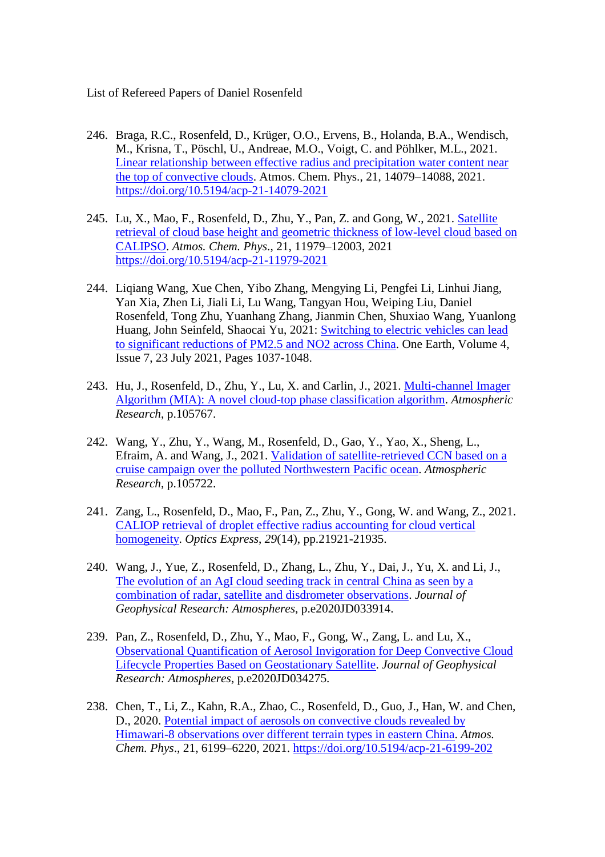List of Refereed Papers of Daniel Rosenfeld

- 246. Braga, R.C., Rosenfeld, D., Krüger, O.O., Ervens, B., Holanda, B.A., Wendisch, M., Krisna, T., Pöschl, U., Andreae, M.O., Voigt, C. and Pöhlker, M.L., 2021. [Linear relationship between effective radius and precipitation water content near](https://acp.copernicus.org/articles/21/14079/2021/)  [the top of convective clouds.](https://acp.copernicus.org/articles/21/14079/2021/) Atmos. Chem. Phys., 21, 14079–14088, 2021. <https://doi.org/10.5194/acp-21-14079-2021>
- 245. Lu, X., Mao, F., Rosenfeld, D., Zhu, Y., Pan, Z. and Gong, W., 2021. [Satellite](https://acp.copernicus.org/articles/21/11979/2021/acp-21-11979-2021-discussion.html)  [retrieval of cloud base height and geometric thickness of low-level cloud based on](https://acp.copernicus.org/articles/21/11979/2021/acp-21-11979-2021-discussion.html)  [CALIPSO.](https://acp.copernicus.org/articles/21/11979/2021/acp-21-11979-2021-discussion.html) *Atmos. Chem. Phys*., 21, 11979–12003, 2021 <https://doi.org/10.5194/acp-21-11979-2021>
- 244. Liqiang Wang, Xue Chen, Yibo Zhang, Mengying Li, Pengfei Li, Linhui Jiang, Yan Xia, Zhen Li, Jiali Li, Lu Wang, Tangyan Hou, Weiping Liu, Daniel Rosenfeld, Tong Zhu, Yuanhang Zhang, [Jianmin Chen,](https://www.sciencedirect.com/science/article/pii/S259033222100350X?dgcid=coauthor#!) Shuxiao Wang, Yuanlong Huang, John Seinfeld, Shaocai Yu, 2021: [Switching to electric vehicles can lead](https://www.sciencedirect.com/science/article/pii/S259033222100350X)  [to significant reductions of PM2.5 and NO2 across China.](https://www.sciencedirect.com/science/article/pii/S259033222100350X) One Earth, Volume 4, Issue 7, 23 July 2021, Pages 1037-1048.
- 243. Hu, J., Rosenfeld, D., Zhu, Y., Lu, X. and Carlin, J., 2021. [Multi-channel Imager](https://www.sciencedirect.com/science/article/pii/S0169809521003239)  [Algorithm \(MIA\): A novel cloud-top phase classification algorithm.](https://www.sciencedirect.com/science/article/pii/S0169809521003239) *Atmospheric Research*, p.105767.
- 242. Wang, Y., Zhu, Y., Wang, M., Rosenfeld, D., Gao, Y., Yao, X., Sheng, L., Efraim, A. and Wang, J., 2021. [Validation of satellite-retrieved CCN based on a](https://www.sciencedirect.com/science/article/pii/S0169809521002787)  [cruise campaign over the polluted Northwestern Pacific ocean.](https://www.sciencedirect.com/science/article/pii/S0169809521002787) *Atmospheric Research*, p.105722.
- 241. Zang, L., Rosenfeld, D., Mao, F., Pan, Z., Zhu, Y., Gong, W. and Wang, Z., 2021. [CALIOP retrieval of droplet effective radius accounting for cloud vertical](https://www.osapublishing.org/oe/fulltext.cfm?uri=oe-29-14-21921&id=452819)  [homogeneity.](https://www.osapublishing.org/oe/fulltext.cfm?uri=oe-29-14-21921&id=452819) *Optics Express*, *29*(14), pp.21921-21935.
- 240. Wang, J., Yue, Z., Rosenfeld, D., Zhang, L., Zhu, Y., Dai, J., Yu, X. and Li, J., [The evolution of an AgI cloud seeding track in central China as seen by a](https://agupubs.onlinelibrary.wiley.com/doi/full/10.1029/2020JD033914)  [combination of radar, satellite and disdrometer observations.](https://agupubs.onlinelibrary.wiley.com/doi/full/10.1029/2020JD033914) *Journal of Geophysical Research: Atmospheres*, p.e2020JD033914.
- 239. Pan, Z., Rosenfeld, D., Zhu, Y., Mao, F., Gong, W., Zang, L. and Lu, X., [Observational Quantification of Aerosol Invigoration for Deep Convective Cloud](https://agupubs.onlinelibrary.wiley.com/doi/full/10.1029/2020JD034275)  [Lifecycle Properties Based on Geostationary Satellite.](https://agupubs.onlinelibrary.wiley.com/doi/full/10.1029/2020JD034275) *Journal of Geophysical Research: Atmospheres*, p.e2020JD034275.
- 238. Chen, T., Li, Z., Kahn, R.A., Zhao, C., Rosenfeld, D., Guo, J., Han, W. and Chen, D., 2020. [Potential impact of aerosols on convective clouds revealed by](https://acp.copernicus.org/articles/21/6199/2021/)  [Himawari-8 observations over different](https://acp.copernicus.org/articles/21/6199/2021/) terrain types in eastern China. *Atmos. Chem. Phys*., 21, 6199–6220, 2021.<https://doi.org/10.5194/acp-21-6199-202>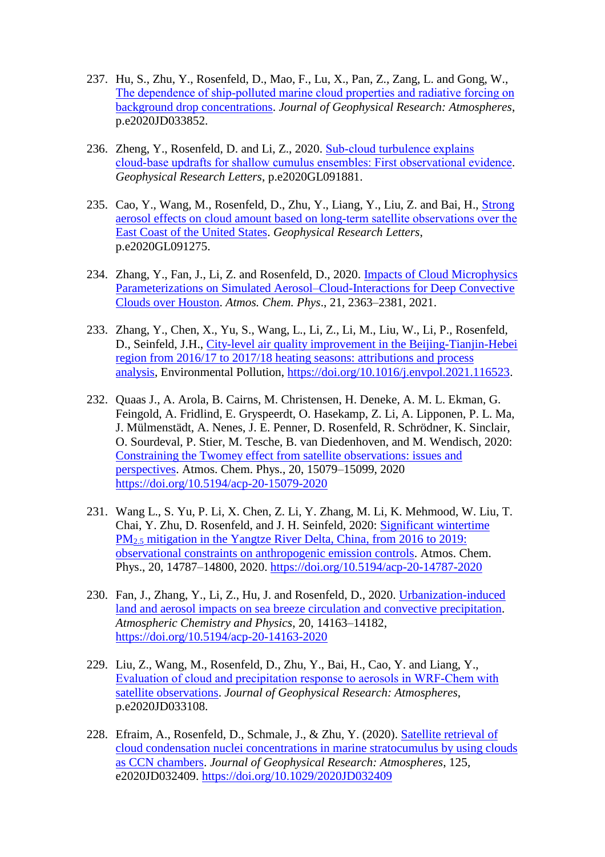- 237. Hu, S., Zhu, Y., Rosenfeld, D., Mao, F., Lu, X., Pan, Z., Zang, L. and Gong, W., The dependence of ship-polluted marine cloud properties and radiative forcing on [background drop concentrations.](https://www.researchgate.net/profile/Yannian-Zhu/publication/350199414_The_Dependence_of_Ship-Polluted_Marine_Cloud_Properties_and_Radiative_Forcing_on_Background_Drop_Concentrations/links/61284c5938818c2eaf62ab2a/The-Dependence-of-Ship-Polluted-Marine-Cloud-Properties-and-Radiative-Forcing-on-Background-Drop-Concentrations.pdf) *Journal of Geophysical Research: Atmospheres*, p.e2020JD033852.
- 236. Zheng, Y., Rosenfeld, D. and Li, Z., 2020. Sub-cloud turbulence explains [cloud‐base updrafts for shallow cumulus ensembles: First observational evidence.](https://agupubs.onlinelibrary.wiley.com/doi/full/10.1029/2020GL091881) *Geophysical Research Letters*, p.e2020GL091881.
- 235. Cao, Y., Wang, M., Rosenfeld, D., Zhu, Y., Liang, Y., Liu, Z. and Bai, H., [Strong](https://agupubs.onlinelibrary.wiley.com/doi/full/10.1029/2020GL091275)  [aerosol effects on cloud amount based on long‐term satellite observations over the](https://agupubs.onlinelibrary.wiley.com/doi/full/10.1029/2020GL091275)  [East Coast of the United States.](https://agupubs.onlinelibrary.wiley.com/doi/full/10.1029/2020GL091275) *Geophysical Research Letters*, p.e2020GL091275.
- 234. Zhang, Y., Fan, J., Li, Z. and Rosenfeld, D., 2020. [Impacts of Cloud Microphysics](https://acp.copernicus.org/articles/21/2363/2021/)  [Parameterizations on Simulated Aerosol–Cloud-Interactions for Deep Convective](https://acp.copernicus.org/articles/21/2363/2021/)  [Clouds over Houston.](https://acp.copernicus.org/articles/21/2363/2021/) *Atmos. Chem. Phys*., 21, 2363–2381, 2021.
- 233. Zhang, Y., Chen, X., Yu, S., Wang, L., Li, Z., Li, M., Liu, W., Li, P., Rosenfeld, D., Seinfeld, J.H., [City-level air quality improvement in the Beijing-Tianjin-Hebei](https://www.sciencedirect.com/science/article/pii/S0269749121001019)  [region from 2016/17 to 2017/18 heating seasons: attributions and process](https://www.sciencedirect.com/science/article/pii/S0269749121001019)  [analysis,](https://www.sciencedirect.com/science/article/pii/S0269749121001019) Environmental Pollution, [https://doi.org/10.1016/j.envpol.2021.116523.](https://doi.org/10.1016/j.envpol.2021.116523)
- 232. Quaas J., A. Arola, B. Cairns, M. Christensen, H. Deneke, A. M. L. Ekman, G. Feingold, A. Fridlind, E. Gryspeerdt, O. Hasekamp, Z. Li, A. Lipponen, P. L. Ma, J. Mülmenstädt, A. Nenes, J. E. Penner, D. Rosenfeld, R. Schrödner, K. Sinclair, O. Sourdeval, P. Stier, M. Tesche, B. van Diedenhoven, and M. Wendisch, 2020: [Constraining the Twomey effect from satellite observations: issues and](https://acp.copernicus.org/articles/20/15079/2020/)  [perspectives.](https://acp.copernicus.org/articles/20/15079/2020/) Atmos. Chem. Phys., 20, 15079–15099, 2020 <https://doi.org/10.5194/acp-20-15079-2020>
- 231. Wang L., S. Yu, P. Li, X. Chen, Z. Li, Y. Zhang, M. Li, K. Mehmood, W. Liu, T. Chai, Y. Zhu, D. Rosenfeld, and J. H. Seinfeld, 2020: [Significant wintertime](https://acp.copernicus.org/articles/20/14787/2020/)  PM2.5 [mitigation in the Yangtze River Delta, China, from 2016 to 2019:](https://acp.copernicus.org/articles/20/14787/2020/)  [observational constraints on anthropogenic emission controls.](https://acp.copernicus.org/articles/20/14787/2020/) Atmos. Chem. Phys., 20, 14787–14800, 2020.<https://doi.org/10.5194/acp-20-14787-2020>
- 230. Fan, J., Zhang, Y., Li, Z., Hu, J. and Rosenfeld, D., 2020. [Urbanization-induced](https://acp.copernicus.org/articles/20/14163/2020/)  [land and aerosol impacts on sea breeze circulation and convective precipitation.](https://acp.copernicus.org/articles/20/14163/2020/) *Atmospheric Chemistry and Physics*, 20, 14163–14182, <https://doi.org/10.5194/acp-20-14163-2020>
- 229. Liu, Z., Wang, M., Rosenfeld, D., Zhu, Y., Bai, H., Cao, Y. and Liang, Y., [Evaluation of cloud and precipitation response to aerosols in WRF‐Chem with](https://agupubs.onlinelibrary.wiley.com/doi/full/10.1029/2020JD033108)  [satellite observations.](https://agupubs.onlinelibrary.wiley.com/doi/full/10.1029/2020JD033108) *Journal of Geophysical Research: Atmospheres*, p.e2020JD033108.
- 228. Efraim, A., Rosenfeld, D., Schmale, J., & Zhu, Y. (2020). [Satellite retrieval of](https://agupubs.onlinelibrary.wiley.com/doi/full/10.1029/2020JD032409)  [cloud condensation nuclei concentrations in marine stratocumulus by using clouds](https://agupubs.onlinelibrary.wiley.com/doi/full/10.1029/2020JD032409)  [as CCN chambers.](https://agupubs.onlinelibrary.wiley.com/doi/full/10.1029/2020JD032409) *Journal of Geophysical Research: Atmospheres*, 125, e2020JD032409. <https://doi.org/10.1029/2020JD032409>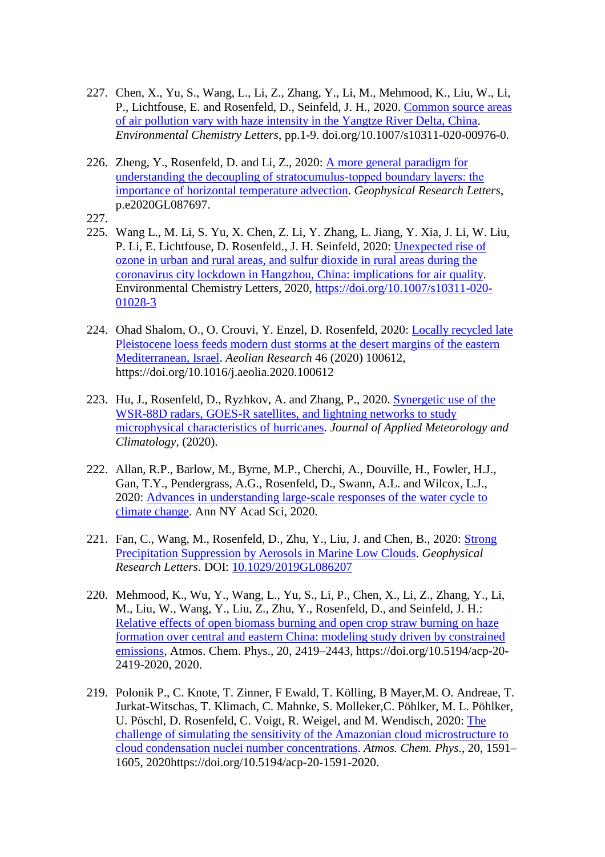- 227. Chen, X., Yu, S., Wang, L., Li, Z., Zhang, Y., Li, M., Mehmood, K., Liu, W., Li, P., Lichtfouse, E. and Rosenfeld, D., Seinfeld, J. H., 2020. [Common source areas](https://www.researchgate.net/profile/Khalid-Mehmood-Sipra/publication/339911387_Common_source_areas_of_air_pollution_vary_with_haze_intensity_in_the_Yangtze_River_Delta_China/links/5e6bd90392851c6ba7009669/Common-source-areas-of-air-pollution-vary-with-haze-intensity-in-the-Yangtze-River-Delta-China.pdf)  [of air pollution vary with haze intensity in the Yangtze River Delta, China.](https://www.researchgate.net/profile/Khalid-Mehmood-Sipra/publication/339911387_Common_source_areas_of_air_pollution_vary_with_haze_intensity_in_the_Yangtze_River_Delta_China/links/5e6bd90392851c6ba7009669/Common-source-areas-of-air-pollution-vary-with-haze-intensity-in-the-Yangtze-River-Delta-China.pdf) *Environmental Chemistry Letters*, pp.1-9. doi.org/10.1007/s10311-020-00976-0.
- 226. Zheng, Y., Rosenfeld, D. and Li, Z., 2020: [A more general paradigm for](https://agupubs.onlinelibrary.wiley.com/doi/full/10.1029/2020GL087697)  [understanding the decoupling of stratocumulus‐topped boundary layers: the](https://agupubs.onlinelibrary.wiley.com/doi/full/10.1029/2020GL087697)  [importance of horizontal temperature advection.](https://agupubs.onlinelibrary.wiley.com/doi/full/10.1029/2020GL087697) *Geophysical Research Letters*, p.e2020GL087697.
- 227.
- 225. Wang L., M. Li, S. Yu, X. Chen, Z. Li, Y. Zhang, L. Jiang, Y. Xia, J. Li, W. Liu, P. Li, E. Lichtfouse, D. Rosenfeld., J. H. Seinfeld, 2020: [Unexpected rise of](https://link.springer.com/article/10.1007/s10311-020-01028-3)  [ozone in urban and rural areas, and sulfur dioxide in rural areas during the](https://link.springer.com/article/10.1007/s10311-020-01028-3)  [coronavirus city lockdown in Hangzhou, China: implications for air quality.](https://link.springer.com/article/10.1007/s10311-020-01028-3) Environmental Chemistry Letters, 2020, [https://doi.org/10.1007/s10311-020-](https://doi.org/10.1007/s10311-020-01028-3) [01028-3](https://doi.org/10.1007/s10311-020-01028-3)
- 224. Ohad Shalom, O., O. Crouvi, Y. Enzel, D. Rosenfeld, 2020: [Locally recycled late](https://www.sciencedirect.com/science/article/pii/S187596372030063X)  [Pleistocene loess feeds modern dust storms at the desert margins of the eastern](https://www.sciencedirect.com/science/article/pii/S187596372030063X)  [Mediterranean, Israel.](https://www.sciencedirect.com/science/article/pii/S187596372030063X) *Aeolian Research* 46 (2020) 100612, <https://doi.org/10.1016/j.aeolia.2020.100612>
- 223. Hu, J., Rosenfeld, D., Ryzhkov, A. and Zhang, P., 2020. [Synergetic use of the](https://journals.ametsoc.org/view/journals/apme/59/6/JAMC-D-19-0122.1.xml)  WSR-88D radars, GOES-R satellites, and lightning networks to study [microphysical characteristics of hurricanes.](https://journals.ametsoc.org/view/journals/apme/59/6/JAMC-D-19-0122.1.xml) *Journal of Applied Meteorology and Climatology*, (2020).
- 222. Allan, R.P., Barlow, M., Byrne, M.P., Cherchi, A., Douville, H., Fowler, H.J., Gan, T.Y., Pendergrass, A.G., Rosenfeld, D., Swann, A.L. and Wilcox, L.J., 2020: [Advances in understanding large-scale responses of](http://centaur.reading.ac.uk/89947/) the water cycle to [climate change.](http://centaur.reading.ac.uk/89947/) Ann NY Acad Sci, 2020.
- 221. Fan, C., Wang, M., Rosenfeld, D., Zhu, Y., Liu, J. and Chen, B., 2020: [Strong](https://agupubs.onlinelibrary.wiley.com/doi/full/10.1029/2019GL086207)  [Precipitation Suppression by Aerosols in Marine Low Clouds.](https://agupubs.onlinelibrary.wiley.com/doi/full/10.1029/2019GL086207) *Geophysical Research Letters*. DOI: [10.1029/2019GL086207](https://www.researchgate.net/deref/http%3A%2F%2Fdx.doi.org%2F10.1029%2F2019GL086207?_sg%5B0%5D=gE6AAtSXz81XUyuZfSwsjop0u2iMRAL8Ud0rpKqwbiMAnKFBCz6gGIR4fcLeUHuQEqHUR2paabwvo3eMc4FNodUJtA.fipITKeGMzaYHxj0rN0jqMyXQ0jg_EGLRNvukUuHyMNW_JBJbh7y_d-eHHNFexNxJIur9_hqYJTsadXP1syHAw)
- 220. Mehmood, K., Wu, Y., Wang, L., Yu, S., Li, P., Chen, X., Li, Z., Zhang, Y., Li, M., Liu, W., Wang, Y., Liu, Z., Zhu, Y., Rosenfeld, D., and Seinfeld, J. H.: [Relative effects of open biomass burning and open crop straw burning on haze](https://acp.copernicus.org/articles/20/2419/2020/)  [formation over central and eastern China: modeling study driven by constrained](https://acp.copernicus.org/articles/20/2419/2020/)  [emissions,](https://acp.copernicus.org/articles/20/2419/2020/) Atmos. Chem. Phys., 20, 2419–2443, https://doi.org/10.5194/acp-20- 2419-2020, 2020.
- 219. Polonik P., C. Knote, T. Zinner, F Ewald, T. Kölling, B Mayer,M. O. Andreae, T. Jurkat-Witschas, T. Klimach, C. Mahnke, S. Molleker,C. Pöhlker, M. L. Pöhlker, U. Pöschl, D. Rosenfeld, C. Voigt, R. Weigel, and M. Wendisch, 2020: [The](https://acp.copernicus.org/articles/20/1591/2020/)  [challenge of simulating the sensitivity of the Amazonian cloud](https://acp.copernicus.org/articles/20/1591/2020/) microstructure to [cloud condensation nuclei number concentrations.](https://acp.copernicus.org/articles/20/1591/2020/) *Atmos. Chem. Phys*., 20, 1591– 1605, 2020https://doi.org/10.5194/acp-20-1591-2020.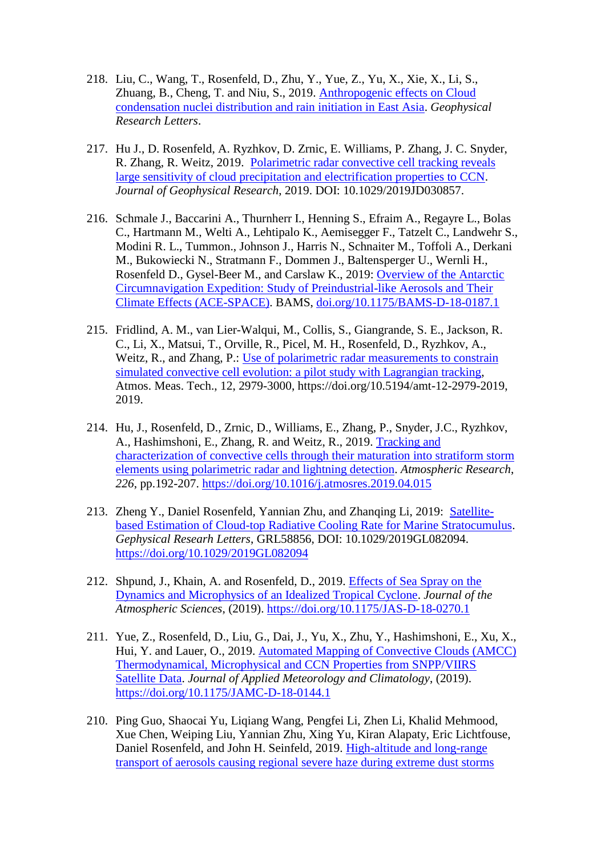- 218. Liu, C., Wang, T., Rosenfeld, D., Zhu, Y., Yue, Z., Yu, X., Xie, X., Li, S., Zhuang, B., Cheng, T. and Niu, S., 2019. [Anthropogenic effects on Cloud](https://agupubs.onlinelibrary.wiley.com/doi/full/10.1029/2019GL086184)  [condensation nuclei distribution and rain initiation in East Asia.](https://agupubs.onlinelibrary.wiley.com/doi/full/10.1029/2019GL086184) *Geophysical Research Letters*.
- 217. Hu J., D. Rosenfeld, A. Ryzhkov, D. Zrnic, E. Williams, P. Zhang, J. C. Snyder, R. Zhang, R. Weitz, 2019. [Polarimetric radar convective cell tracking reveals](https://agupubs.onlinelibrary.wiley.com/doi/full/10.1029/2019JD030857)  [large sensitivity of cloud precipitation and electrification properties to CCN.](https://agupubs.onlinelibrary.wiley.com/doi/full/10.1029/2019JD030857) *Journal of Geophysical Research*, 2019. DOI: 10.1029/2019JD030857.
- 216. Schmale J., Baccarini A., Thurnherr I., Henning S., Efraim A., Regayre L., Bolas C., Hartmann M., Welti A., Lehtipalo K., Aemisegger F., Tatzelt C., Landwehr S., Modini R. L., Tummon., Johnson J., Harris N., Schnaiter M., Toffoli A., Derkani M., Bukowiecki N., Stratmann F., Dommen J., Baltensperger U., Wernli H., Rosenfeld D., Gysel-Beer M., and Carslaw K., 2019: [Overview of the Antarctic](https://journals.ametsoc.org/view/journals/bams/100/11/bams-d-18-0187.1.xml)  [Circumnavigation Expedition: Study of Preindustrial-like Aerosols and Their](https://journals.ametsoc.org/view/journals/bams/100/11/bams-d-18-0187.1.xml)  [Climate Effects \(ACE-SPACE\).](https://journals.ametsoc.org/view/journals/bams/100/11/bams-d-18-0187.1.xml) BAMS, [doi.org/10.1175/BAMS-D-18-0187.1](https://doi.org/10.1175/BAMS-D-18-0187.1)
- 215. Fridlind, A. M., van Lier-Walqui, M., Collis, S., Giangrande, S. E., Jackson, R. C., Li, X., Matsui, T., Orville, R., Picel, M. H., Rosenfeld, D., Ryzhkov, A., Weitz, R., and Zhang, P.: Use of polarimetric radar measurements to constrain [simulated convective cell evolution: a pilot study with Lagrangian tracking,](https://amt.copernicus.org/articles/12/2979/2019/) Atmos. Meas. Tech., 12, 2979-3000, https://doi.org/10.5194/amt-12-2979-2019, 2019.
- 214. Hu, J., Rosenfeld, D., Zrnic, D., Williams, E., Zhang, P., Snyder, J.C., Ryzhkov, A., Hashimshoni, E., Zhang, R. and Weitz, R., 2019. [Tracking and](https://www.sciencedirect.com/science/article/pii/S0169809519300766)  [characterization of convective cells through their maturation into stratiform storm](https://www.sciencedirect.com/science/article/pii/S0169809519300766)  [elements using polarimetric radar and lightning detection.](https://www.sciencedirect.com/science/article/pii/S0169809519300766) *Atmospheric Research*, *226*, pp.192-207. <https://doi.org/10.1016/j.atmosres.2019.04.015>
- 213. Zheng Y., Daniel Rosenfeld, Yannian Zhu, and Zhanqing Li, 2019: [Satellite](https://agupubs.onlinelibrary.wiley.com/doi/full/10.1029/2019GL082094)[based Estimation of Cloud-top Radiative Cooling Rate for Marine Stratocumulus.](https://agupubs.onlinelibrary.wiley.com/doi/full/10.1029/2019GL082094) *Gephysical Researh Letters*, GRL58856, DOI: 10.1029/2019GL082094. <https://doi.org/10.1029/2019GL082094>
- 212. Shpund, J., Khain, A. and Rosenfeld, D., 2019. [Effects of Sea Spray on the](https://journals.ametsoc.org/view/journals/atsc/76/8/jas-d-18-0270.1.xml?tab_body=pdf)  [Dynamics and Microphysics of an Idealized Tropical](https://journals.ametsoc.org/view/journals/atsc/76/8/jas-d-18-0270.1.xml?tab_body=pdf) Cyclone. *Journal of the Atmospheric Sciences*, (2019). <https://doi.org/10.1175/JAS-D-18-0270.1>
- 211. Yue, Z., Rosenfeld, D., Liu, G., Dai, J., Yu, X., Zhu, Y., Hashimshoni, E., Xu, X., Hui, Y. and Lauer, O., 2019. [Automated Mapping of Convective Clouds \(AMCC\)](https://journals.ametsoc.org/view/journals/apme/58/4/jamc-d-18-0144.1.xml)  [Thermodynamical, Microphysical and CCN Properties from SNPP/VIIRS](https://journals.ametsoc.org/view/journals/apme/58/4/jamc-d-18-0144.1.xml)  [Satellite Data.](https://journals.ametsoc.org/view/journals/apme/58/4/jamc-d-18-0144.1.xml) *Journal of Applied Meteorology and Climatology*, (2019). <https://doi.org/10.1175/JAMC-D-18-0144.1>
- 210. Ping Guo, Shaocai Yu, Liqiang Wang, Pengfei Li, Zhen Li, Khalid Mehmood, Xue Chen, Weiping Liu, Yannian Zhu, Xing Yu, Kiran Alapaty, Eric Lichtfouse, Daniel Rosenfeld, and John H. Seinfeld, 2019. [High-altitude and long-range](https://link.springer.com/article/10.1007/s10311-019-00858-0)  [transport of aerosols causing regional severe haze during extreme dust storms](https://link.springer.com/article/10.1007/s10311-019-00858-0)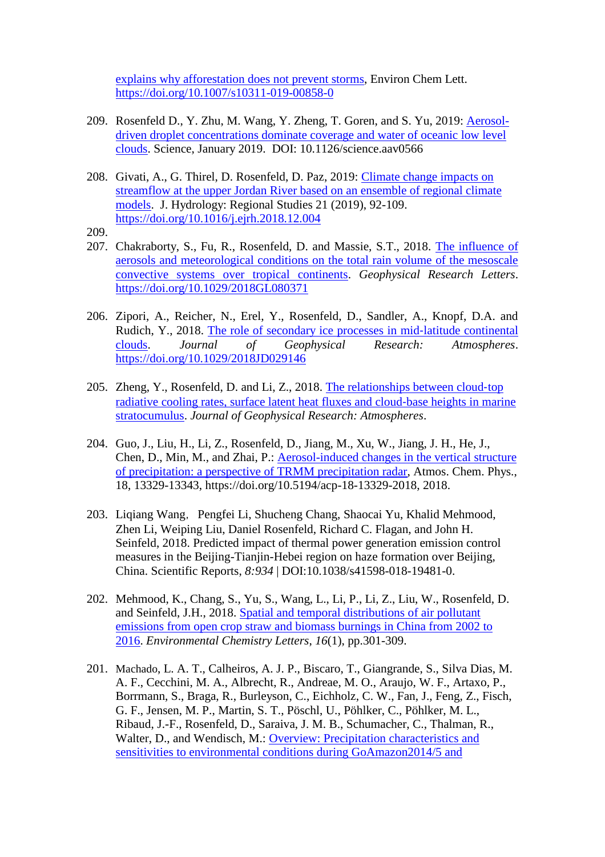[explains why afforestation does not prevent storms,](https://link.springer.com/article/10.1007/s10311-019-00858-0) Environ Chem Lett. <https://doi.org/10.1007/s10311-019-00858-0>

- 209. Rosenfeld D., Y. Zhu, M. Wang, Y. Zheng, T. Goren, and S. Yu, 2019: [Aerosol](https://www.science.org/doi/10.1126/science.aav0566)[driven droplet concentrations dominate coverage and water of oceanic low level](https://www.science.org/doi/10.1126/science.aav0566)  [clouds.](https://www.science.org/doi/10.1126/science.aav0566) Science, January 2019. DOI: 10.1126/science.aav0566
- 208. Givati, A., G. Thirel, D. Rosenfeld, D. Paz, 2019: [Climate change impacts on](https://www.sciencedirect.com/science/article/pii/S2214581818301964)  [streamflow at the upper Jordan River based on an ensemble of regional climate](https://www.sciencedirect.com/science/article/pii/S2214581818301964)  [models.](https://www.sciencedirect.com/science/article/pii/S2214581818301964) J. Hydrology: Regional Studies 21 (2019), 92-109. <https://doi.org/10.1016/j.ejrh.2018.12.004>
- 209.
- 207. Chakraborty, S., Fu, R., Rosenfeld, D. and Massie, S.T., 2018. [The influence of](https://agupubs.onlinelibrary.wiley.com/doi/full/10.1029/2018GL080371)  [aerosols and meteorological conditions on the total rain volume of the mesoscale](https://agupubs.onlinelibrary.wiley.com/doi/full/10.1029/2018GL080371)  [convective systems over tropical continents.](https://agupubs.onlinelibrary.wiley.com/doi/full/10.1029/2018GL080371) *Geophysical Research Letters*. <https://doi.org/10.1029/2018GL080371>
- 206. Zipori, A., Reicher, N., Erel, Y., Rosenfeld, D., Sandler, A., Knopf, D.A. and Rudich, Y., 2018. [The role of secondary ice processes in mid](https://agupubs.onlinelibrary.wiley.com/doi/full/10.1029/2018JD029146)‐latitude continental [clouds.](https://agupubs.onlinelibrary.wiley.com/doi/full/10.1029/2018JD029146) *Journal of Geophysical Research: Atmospheres*. <https://doi.org/10.1029/2018JD029146>
- 205. Zheng, Y., Rosenfeld, D. and Li, Z., 2018. [The relationships between cloud](https://www.researchgate.net/publication/328263073_The_Relationships_Between_Cloud_Top_Radiative_Cooling_Rates_Surface_Latent_Heat_Fluxes_and_Cloud-Base_Heights_in_Marine_Stratocumulus)‐top [radiative cooling rates, surface latent heat fluxes and cloud](https://www.researchgate.net/publication/328263073_The_Relationships_Between_Cloud_Top_Radiative_Cooling_Rates_Surface_Latent_Heat_Fluxes_and_Cloud-Base_Heights_in_Marine_Stratocumulus)‐base heights in marine [stratocumulus.](https://www.researchgate.net/publication/328263073_The_Relationships_Between_Cloud_Top_Radiative_Cooling_Rates_Surface_Latent_Heat_Fluxes_and_Cloud-Base_Heights_in_Marine_Stratocumulus) *Journal of Geophysical Research: Atmospheres*.
- 204. Guo, J., Liu, H., Li, Z., Rosenfeld, D., Jiang, M., Xu, W., Jiang, J. H., He, J., Chen, D., Min, M., and Zhai, P.: [Aerosol-induced changes in the vertical structure](https://www.researchgate.net/publication/327753926_Aerosol-induced_changes_in_the_vertical_structure_of_precipitation_A_perspective_of_TRMM_precipitation_radar)  [of precipitation: a perspective of TRMM precipitation radar,](https://www.researchgate.net/publication/327753926_Aerosol-induced_changes_in_the_vertical_structure_of_precipitation_A_perspective_of_TRMM_precipitation_radar) Atmos. Chem. Phys., 18, 13329-13343, https://doi.org/10.5194/acp-18-13329-2018, 2018.
- 203. Liqiang Wang, Pengfei Li, Shucheng Chang, Shaocai Yu, Khalid Mehmood, Zhen Li, Weiping Liu, Daniel Rosenfeld, Richard C. Flagan, and John H. Seinfeld, 2018. Predicted impact of thermal power generation emission control measures in the Beijing-Tianjin-Hebei region on haze formation over Beijing, China. Scientific Reports, *8:934* | DOI:10.1038/s41598-018-19481-0.
- 202. Mehmood, K., Chang, S., Yu, S., Wang, L., Li, P., Li, Z., Liu, W., Rosenfeld, D. and Seinfeld, J.H., 2018. [Spatial and temporal distributions of air pollutant](https://www.researchgate.net/publication/321388248_Spatial_and_temporal_distributions_of_air_pollutant_emissions_from_open_crop_straw_and_biomass_burnings_in_China_from_2002_to_2016)  [emissions from open crop straw and biomass burnings in China from 2002 to](https://www.researchgate.net/publication/321388248_Spatial_and_temporal_distributions_of_air_pollutant_emissions_from_open_crop_straw_and_biomass_burnings_in_China_from_2002_to_2016)  [2016.](https://www.researchgate.net/publication/321388248_Spatial_and_temporal_distributions_of_air_pollutant_emissions_from_open_crop_straw_and_biomass_burnings_in_China_from_2002_to_2016) *Environmental Chemistry Letters*, *16*(1), pp.301-309.
- 201. Machado, L. A. T., Calheiros, A. J. P., Biscaro, T., Giangrande, S., Silva Dias, M. A. F., Cecchini, M. A., Albrecht, R., Andreae, M. O., Araujo, W. F., Artaxo, P., Borrmann, S., Braga, R., Burleyson, C., Eichholz, C. W., Fan, J., Feng, Z., Fisch, G. F., Jensen, M. P., Martin, S. T., Pöschl, U., Pöhlker, C., Pöhlker, M. L., Ribaud, J.-F., Rosenfeld, D., Saraiva, J. M. B., Schumacher, C., Thalman, R., Walter, D., and Wendisch, M.: Overview: Precipitation characteristics and sensitivities [to environmental conditions during GoAmazon2014/5 and](Precipitation%20characteristics%20and%20sensitivities%20to%20environmental%20conditions%20during%20GoAmazon2014/5%20and%20ACRIDICON-CHUVA)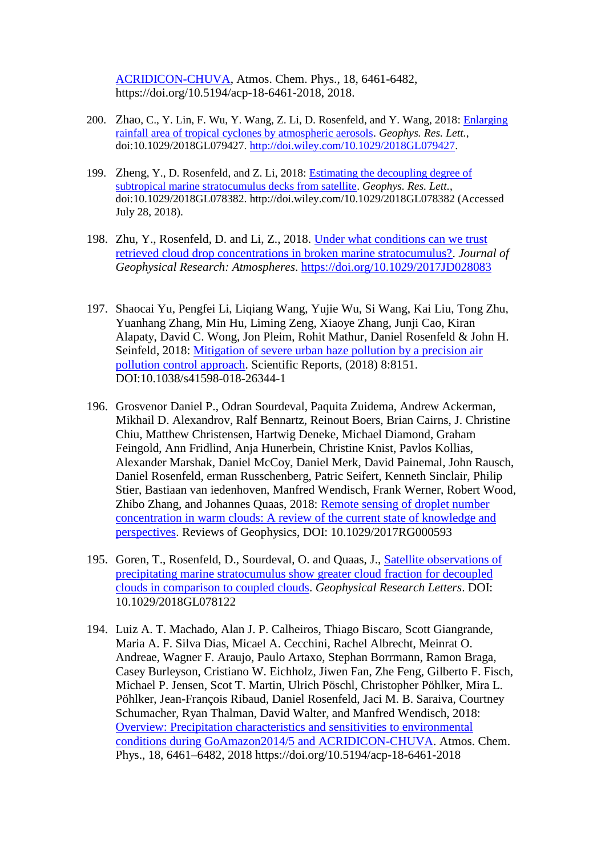[ACRIDICON-CHUVA,](Precipitation%20characteristics%20and%20sensitivities%20to%20environmental%20conditions%20during%20GoAmazon2014/5%20and%20ACRIDICON-CHUVA) Atmos. Chem. Phys., 18, 6461-6482, https://doi.org/10.5194/acp-18-6461-2018, 2018.

- 200. Zhao, C., Y. Lin, F. Wu, Y. Wang, Z. Li, D. Rosenfeld, and Y. Wang, 2018: [Enlarging](https://www.researchgate.net/publication/326753845_Enlarging_Rainfall_Area_of_Tropical_Cyclones_by_Atmospheric_Aerosols)  [rainfall area of tropical cyclones by atmospheric aerosols.](https://www.researchgate.net/publication/326753845_Enlarging_Rainfall_Area_of_Tropical_Cyclones_by_Atmospheric_Aerosols) *Geophys. Res. Lett.*, doi:10.1029/2018GL079427. [http://doi.wiley.com/10.1029/2018GL079427.](http://doi.wiley.com/10.1029/2018GL079427)
- 199. Zheng, Y., D. Rosenfeld, and Z. Li, 2018: [Estimating the decoupling degree of](https://www.researchgate.net/publication/326567123_Estimating_the_decoupling_degree_of_subtropical_marine_stratocumulus_decks_from_satellite)  [subtropical marine stratocumulus decks from satellite.](https://www.researchgate.net/publication/326567123_Estimating_the_decoupling_degree_of_subtropical_marine_stratocumulus_decks_from_satellite) *Geophys. Res. Lett.*, doi:10.1029/2018GL078382. http://doi.wiley.com/10.1029/2018GL078382 (Accessed July 28, 2018).
- 198. Zhu, Y., Rosenfeld, D. and Li, Z., 2018. [Under what conditions can we trust](https://www.researchgate.net/publication/326521377_Under_What_Conditions_Can_We_Trust_Retrieved_Cloud_Drop_Concentrations_in_Broken_Marine_Stratocumulus)  [retrieved cloud drop concentrations in broken marine stratocumulus?.](https://www.researchgate.net/publication/326521377_Under_What_Conditions_Can_We_Trust_Retrieved_Cloud_Drop_Concentrations_in_Broken_Marine_Stratocumulus) *Journal of Geophysical Research: Atmospheres*. <https://doi.org/10.1029/2017JD028083>
- 197. Shaocai Yu, Pengfei Li, Liqiang Wang, Yujie Wu, Si Wang, Kai Liu, Tong Zhu, Yuanhang Zhang, Min Hu, Liming Zeng, Xiaoye Zhang, Junji Cao, Kiran Alapaty, David C. Wong, Jon Pleim, Rohit Mathur, Daniel Rosenfeld & John H. Seinfeld, 2018: [Mitigation of severe urban haze pollution by a precision air](https://www.researchgate.net/search.Search.html?type=publication&query=Mitigation%20of%20severe%20urban%20haze%20pollution%20by%20a%20precision%20air%20pollution%20control%20approach)  [pollution control approach.](https://www.researchgate.net/search.Search.html?type=publication&query=Mitigation%20of%20severe%20urban%20haze%20pollution%20by%20a%20precision%20air%20pollution%20control%20approach) Scientific Reports, (2018) 8:8151. DOI:10.1038/s41598-018-26344-1
- 196. Grosvenor Daniel P., Odran Sourdeval, Paquita Zuidema, Andrew Ackerman, Mikhail D. Alexandrov, Ralf Bennartz, Reinout Boers, Brian Cairns, J. Christine Chiu, Matthew Christensen, Hartwig Deneke, Michael Diamond, Graham Feingold, Ann Fridlind, Anja Hunerbein, Christine Knist, Pavlos Kollias, Alexander Marshak, Daniel McCoy, Daniel Merk, David Painemal, John Rausch, Daniel Rosenfeld, erman Russchenberg, Patric Seifert, Kenneth Sinclair, Philip Stier, Bastiaan van iedenhoven, Manfred Wendisch, Frank Werner, Robert Wood, Zhibo Zhang, and Johannes Quaas, 2018: [Remote sensing of droplet number](https://agupubs.onlinelibrary.wiley.com/doi/abs/10.1029/2017RG000593)  [concentration in warm clouds: A review of the current state of knowledge and](https://agupubs.onlinelibrary.wiley.com/doi/abs/10.1029/2017RG000593)  [perspectives.](https://agupubs.onlinelibrary.wiley.com/doi/abs/10.1029/2017RG000593) Reviews of Geophysics, DOI: 10.1029/2017RG000593
- 195. Goren, T., Rosenfeld, D., Sourdeval, O. and Quaas, J., [Satellite observations of](https://www.researchgate.net/search.Search.html?type=publication&query=Satellite%20observations%20of%20precipitating%20marine%20stratocumulus%20show%20greater%20cloud%20fraction%20for%20decoupled%20clouds%20in%20comparison%20to%20coupled%20clouds)  [precipitating marine stratocumulus show greater cloud fraction for decoupled](https://www.researchgate.net/search.Search.html?type=publication&query=Satellite%20observations%20of%20precipitating%20marine%20stratocumulus%20show%20greater%20cloud%20fraction%20for%20decoupled%20clouds%20in%20comparison%20to%20coupled%20clouds)  [clouds in comparison to coupled clouds.](https://www.researchgate.net/search.Search.html?type=publication&query=Satellite%20observations%20of%20precipitating%20marine%20stratocumulus%20show%20greater%20cloud%20fraction%20for%20decoupled%20clouds%20in%20comparison%20to%20coupled%20clouds) *Geophysical Research Letters*. DOI: 10.1029/2018GL078122
- 194. Luiz A. T. Machado, Alan J. P. Calheiros, Thiago Biscaro, Scott Giangrande, Maria A. F. Silva Dias, Micael A. Cecchini, Rachel Albrecht, Meinrat O. Andreae, Wagner F. Araujo, Paulo Artaxo, Stephan Borrmann, Ramon Braga, Casey Burleyson, Cristiano W. Eichholz, Jiwen Fan, Zhe Feng, Gilberto F. Fisch, Michael P. Jensen, Scot T. Martin, Ulrich Pöschl, Christopher Pöhlker, Mira L. Pöhlker, Jean-François Ribaud, Daniel Rosenfeld, Jaci M. B. Saraiva, Courtney Schumacher, Ryan Thalman, David Walter, and Manfred Wendisch, 2018: [Overview: Precipitation characteristics and sensitivities to environmental](https://www.researchgate.net/search.Search.html?type=publication&query=Overview:%20Precipitation%20characteristics%20and%20sensitivities%20to%20environmental%20conditions%20during%20GoAmazon2014/5%20and%20ACRIDICON-CHUVA)  [conditions during GoAmazon2014/5 and ACRIDICON-CHUVA.](https://www.researchgate.net/search.Search.html?type=publication&query=Overview:%20Precipitation%20characteristics%20and%20sensitivities%20to%20environmental%20conditions%20during%20GoAmazon2014/5%20and%20ACRIDICON-CHUVA) Atmos. Chem. Phys., 18, 6461–6482, 2018 https://doi.org/10.5194/acp-18-6461-2018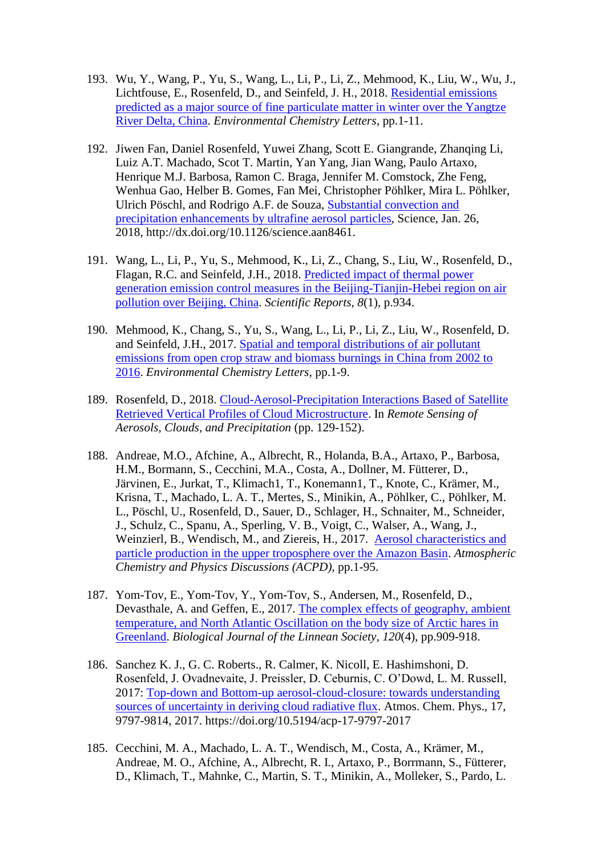- 193. Wu, Y., Wang, P., Yu, S., Wang, L., Li, P., Li, Z., Mehmood, K., Liu, W., Wu, J., Lichtfouse, E., Rosenfeld, D., and Seinfeld, J. H., 2018. [Residential emissions](https://www.researchgate.net/search.Search.html?type=publication&query=Residential%20emissions%20predicted%20as%20a%20major%20source%20of%20fine%20particulate%20matter%20in%20winter%20over%20the%20Yangtze%20River%20Delta,%20China)  [predicted as a major source of fine particulate matter in winter over the](https://www.researchgate.net/search.Search.html?type=publication&query=Residential%20emissions%20predicted%20as%20a%20major%20source%20of%20fine%20particulate%20matter%20in%20winter%20over%20the%20Yangtze%20River%20Delta,%20China) Yangtze [River Delta, China.](https://www.researchgate.net/search.Search.html?type=publication&query=Residential%20emissions%20predicted%20as%20a%20major%20source%20of%20fine%20particulate%20matter%20in%20winter%20over%20the%20Yangtze%20River%20Delta,%20China) *Environmental Chemistry Letters*, pp.1-11.
- 192. Jiwen Fan, Daniel Rosenfeld, Yuwei Zhang, Scott E. Giangrande, Zhanqing Li, Luiz A.T. Machado, Scot T. Martin, Yan Yang, Jian Wang, Paulo Artaxo, Henrique M.J. Barbosa, Ramon C. Braga, Jennifer M. Comstock, Zhe Feng, Wenhua Gao, Helber B. Gomes, Fan Mei, Christopher Pöhlker, Mira L. Pöhlker, Ulrich Pöschl, and Rodrigo A.F. de Souza, [Substantial convection and](https://www.researchgate.net/search.Search.html?type=publication&query=Substantial%20convection%20and%20precipitation%20enhancements%20by%20ultrafine%20aerosol%20particles)  [precipitation enhancements by ultrafine aerosol particles,](https://www.researchgate.net/search.Search.html?type=publication&query=Substantial%20convection%20and%20precipitation%20enhancements%20by%20ultrafine%20aerosol%20particles) Science, Jan. 26, 2018, [http://dx.doi.org/10.1126/science.aan8461.](http://dx.doi.org/10.1126/science.aan8461)
- 191. Wang, L., Li, P., Yu, S., Mehmood, K., Li, Z., Chang, S., Liu, W., Rosenfeld, D., Flagan, R.C. and Seinfeld, J.H., 2018. [Predicted impact of thermal power](https://www.researchgate.net/search.Search.html?type=publication&query=2018.%20Predicted%20impact%20of%20thermal%20power%20generation%20emission%20control%20measures%20in%20the%20Beijing-Tianjin-Hebei%20region%20on%20air%20pollution%20over%20Beijing,%20Chi)  [generation emission control measures in the Beijing-Tianjin-Hebei region on air](https://www.researchgate.net/search.Search.html?type=publication&query=2018.%20Predicted%20impact%20of%20thermal%20power%20generation%20emission%20control%20measures%20in%20the%20Beijing-Tianjin-Hebei%20region%20on%20air%20pollution%20over%20Beijing,%20Chi)  [pollution over Beijing, China.](https://www.researchgate.net/search.Search.html?type=publication&query=2018.%20Predicted%20impact%20of%20thermal%20power%20generation%20emission%20control%20measures%20in%20the%20Beijing-Tianjin-Hebei%20region%20on%20air%20pollution%20over%20Beijing,%20Chi) *Scientific Reports*, *8*(1), p.934.
- 190. Mehmood, K., Chang, S., Yu, S., Wang, L., Li, P., Li, Z., Liu, W., Rosenfeld, D. and Seinfeld, J.H., 2017. [Spatial and temporal distributions of air pollutant](https://www.researchgate.net/publication/321388248_Spatial_and_temporal_distributions_of_air_pollutant_emissions_from_open_crop_straw_and_biomass_burnings_in_China_from_2002_to_2016)  [emissions from open crop straw and biomass burnings](https://www.researchgate.net/publication/321388248_Spatial_and_temporal_distributions_of_air_pollutant_emissions_from_open_crop_straw_and_biomass_burnings_in_China_from_2002_to_2016) in China from 2002 to [2016.](https://www.researchgate.net/publication/321388248_Spatial_and_temporal_distributions_of_air_pollutant_emissions_from_open_crop_straw_and_biomass_burnings_in_China_from_2002_to_2016) *Environmental Chemistry Letters*, pp.1-9.
- 189. Rosenfeld, D., 2018. [Cloud-Aerosol-Precipitation Interactions Based of Satellite](https://www.researchgate.net/publication/322182170_Cloud-Aerosol-Precipitation_Interactions_Based_of_Satellite_Retrieved_Vertical_Profiles_of_Cloud_Microstructure)  [Retrieved Vertical Profiles of Cloud Microstructure.](https://www.researchgate.net/publication/322182170_Cloud-Aerosol-Precipitation_Interactions_Based_of_Satellite_Retrieved_Vertical_Profiles_of_Cloud_Microstructure) In *Remote Sensing of Aerosols, Clouds, and Precipitation* (pp. 129-152).
- 188. Andreae, M.O., Afchine, A., Albrecht, R., Holanda, B.A., Artaxo, P., Barbosa, H.M., Bormann, S., Cecchini, M.A., Costa, A., Dollner, M. Fütterer, D., Järvinen, E., Jurkat, T., Klimach1, T., Konemann1, T., Knote, C., Krämer, M., Krisna, T., Machado, L. A. T., Mertes, S., Minikin, A., Pöhlker, C., Pöhlker, M. L., Pöschl, U., Rosenfeld, D., Sauer, D., Schlager, H., Schnaiter, M., Schneider, J., Schulz, C., Spanu, A., Sperling, V. B., Voigt, C., Walser, A., Wang, J., Weinzierl, B., Wendisch, M., and Ziereis, H., 2017. [Aerosol characteristics and](https://www.researchgate.net/publication/318831440_Aerosol_characteristics_and_particle_production_in_the_upper_troposphere_over_the_Amazon_Basin)  [particle production in the upper troposphere over the Amazon Basin.](https://www.researchgate.net/publication/318831440_Aerosol_characteristics_and_particle_production_in_the_upper_troposphere_over_the_Amazon_Basin) *Atmospheric Chemistry and Physics Discussions (ACPD)*, pp.1-95.
- 187. Yom-Tov, E., Yom-Tov, Y., Yom-Tov, S., Andersen, M., Rosenfeld, D., Devasthale, A. and Geffen, E., 2017. [The complex effects of geography, ambient](https://www.researchgate.net/publication/315344404_The_complex_effects_of_geography_ambient_temperature_and_North_Atlantic_Oscillation_on_the_body_size_of_Arctic_hares_in_Greenland)  [temperature, and North Atlantic Oscillation on the body size of Arctic hares in](https://www.researchgate.net/publication/315344404_The_complex_effects_of_geography_ambient_temperature_and_North_Atlantic_Oscillation_on_the_body_size_of_Arctic_hares_in_Greenland)  [Greenland.](https://www.researchgate.net/publication/315344404_The_complex_effects_of_geography_ambient_temperature_and_North_Atlantic_Oscillation_on_the_body_size_of_Arctic_hares_in_Greenland) *Biological Journal of the Linnean Society*, *120*(4), pp.909-918.
- 186. Sanchez K. J., G. C. Roberts., R. Calmer, K. Nicoll, E. Hashimshoni, D. Rosenfeld, J. Ovadnevaite, J. Preissler, D. Ceburnis, C. O'Dowd, L. M. Russell, 2017: [Top-down and Bottom-up aerosol-cloud-closure: towards understanding](https://www.researchgate.net/publication/315500384_Top-down_and_Bottom-up_aerosol-cloud-closure_towards_understanding_sources_of_uncertainty_in_deriving_cloud_radiative_flux)  [sources of uncertainty in deriving cloud radiative flux.](https://www.researchgate.net/publication/315500384_Top-down_and_Bottom-up_aerosol-cloud-closure_towards_understanding_sources_of_uncertainty_in_deriving_cloud_radiative_flux) Atmos. Chem. Phys., 17, 9797-9814, 2017. https://doi.org/10.5194/acp-17-9797-2017
- 185. Cecchini, M. A., Machado, L. A. T., Wendisch, M., Costa, A., Krämer, M., Andreae, M. O., Afchine, A., Albrecht, R. I., Artaxo, P., Borrmann, S., Fütterer, D., Klimach, T., Mahnke, C., Martin, S. T., Minikin, A., Molleker, S., Pardo, L.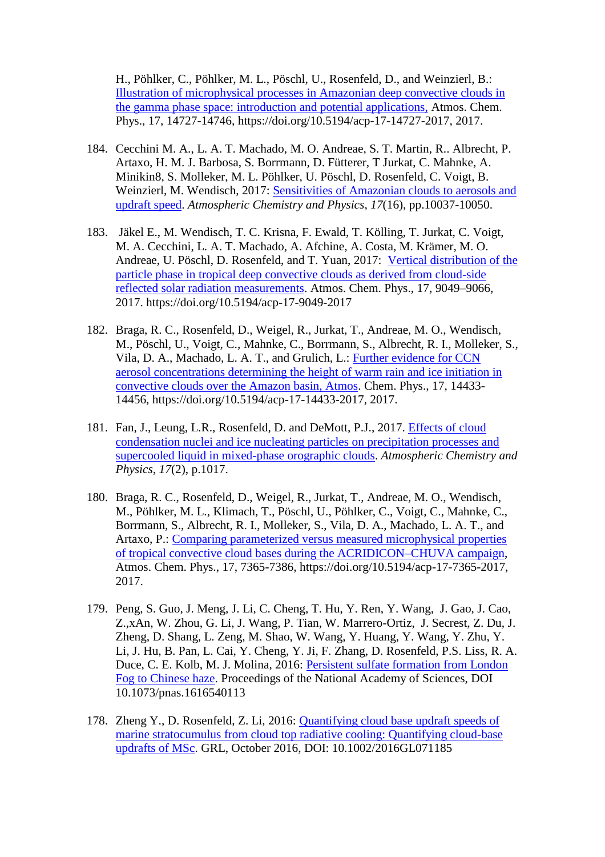H., Pöhlker, C., Pöhlker, M. L., Pöschl, U., Rosenfeld, D., and Weinzierl, B.: [Illustration of microphysical processes in Amazonian deep convective clouds in](https://www.atmos-chem-phys.net/17/14727/2017/acp-17-14727-2017.pdf)  [the gamma phase space: introduction and potential applications,](https://www.atmos-chem-phys.net/17/14727/2017/acp-17-14727-2017.pdf) Atmos. Chem. Phys., 17, 14727-14746, https://doi.org/10.5194/acp-17-14727-2017, 2017.

- 184. Cecchini M. A., L. A. T. Machado, M. O. Andreae, S. T. Martin, R.. Albrecht, P. Artaxo, H. M. J. Barbosa, S. Borrmann, D. Fütterer, T Jurkat, C. Mahnke, A. Minikin8, S. Molleker, M. L. Pöhlker, U. Pöschl, D. Rosenfeld, C. Voigt, B. Weinzierl, M. Wendisch, 2017: [Sensitivities of Amazonian clouds to aerosols and](https://www.researchgate.net/publication/319337814_Sensitivities_of_Amazonian_clouds_to_aerosols_and_updraft_speed)  [updraft speed.](https://www.researchgate.net/publication/319337814_Sensitivities_of_Amazonian_clouds_to_aerosols_and_updraft_speed) *Atmospheric Chemistry and Physics*, *17*(16), pp.10037-10050.
- 183. Jäkel E., M. Wendisch, T. C. Krisna, F. Ewald, T. Kölling, T. Jurkat, C. Voigt, M. A. Cecchini, L. A. T. Machado, A. Afchine, A. Costa, M. Krämer, M. O. Andreae, U. Pöschl, D. Rosenfeld, and T. Yuan, 2017: [Vertical distribution of the](https://www.researchgate.net/publication/318729861_Vertical_distribution_of_the_particle_phase_in_tropical_deep_convective_clouds_as_derived_from_cloud-side_reflected_solar_radiation_measurements)  [particle phase in tropical deep convective clouds as derived from cloud-side](https://www.researchgate.net/publication/318729861_Vertical_distribution_of_the_particle_phase_in_tropical_deep_convective_clouds_as_derived_from_cloud-side_reflected_solar_radiation_measurements)  [reflected solar radiation measurements.](https://www.researchgate.net/publication/318729861_Vertical_distribution_of_the_particle_phase_in_tropical_deep_convective_clouds_as_derived_from_cloud-side_reflected_solar_radiation_measurements) Atmos. Chem. Phys., 17, 9049–9066, 2017. https://doi.org/10.5194/acp-17-9049-2017
- 182. Braga, R. C., Rosenfeld, D., Weigel, R., Jurkat, T., Andreae, M. O., Wendisch, M., Pöschl, U., Voigt, C., Mahnke, C., Borrmann, S., Albrecht, R. I., Molleker, S., Vila, D. A., Machado, L. A. T., and Grulich, L.: [Further evidence for CCN](https://www.atmos-chem-phys.net/17/14433/2017/)  [aerosol concentrations determining the height of warm rain and ice initiation in](https://www.atmos-chem-phys.net/17/14433/2017/)  [convective clouds over the Amazon basin, Atmos.](https://www.atmos-chem-phys.net/17/14433/2017/) Chem. Phys., 17, 14433- 14456, https://doi.org/10.5194/acp-17-14433-2017, 2017.
- 181. Fan, J., Leung, L.R., Rosenfeld, D. and DeMott, P.J., 2017. [Effects of cloud](https://www.researchgate.net/publication/312650004_Effects_of_cloud_condensation_nuclei_and_ice_nucleating_particles_on_precipitation_processes_and_supercooled_liquid_in_mixed-phase_orographic_clouds)  [condensation nuclei and ice nucleating particles on precipitation processes and](https://www.researchgate.net/publication/312650004_Effects_of_cloud_condensation_nuclei_and_ice_nucleating_particles_on_precipitation_processes_and_supercooled_liquid_in_mixed-phase_orographic_clouds)  [supercooled liquid in mixed-phase orographic clouds.](https://www.researchgate.net/publication/312650004_Effects_of_cloud_condensation_nuclei_and_ice_nucleating_particles_on_precipitation_processes_and_supercooled_liquid_in_mixed-phase_orographic_clouds) *Atmospheric Chemistry and Physics*, *17*(2), p.1017.
- 180. Braga, R. C., Rosenfeld, D., Weigel, R., Jurkat, T., Andreae, M. O., Wendisch, M., Pöhlker, M. L., Klimach, T., Pöschl, U., Pöhlker, C., Voigt, C., Mahnke, C., Borrmann, S., Albrecht, R. I., Molleker, S., Vila, D. A., Machado, L. A. T., and Artaxo, P.: [Comparing parameterized versus measured microphysical properties](https://www.researchgate.net/publication/317715405_Comparing_parameterized_versus_measured_microphysical_properties_of_tropical_convective_cloud_bases_during_the_ACRIDICON-CHUVA_campaign)  [of tropical convective cloud bases during the ACRIDICON–CHUVA campaign,](https://www.researchgate.net/publication/317715405_Comparing_parameterized_versus_measured_microphysical_properties_of_tropical_convective_cloud_bases_during_the_ACRIDICON-CHUVA_campaign) Atmos. Chem. Phys., 17, 7365-7386, https://doi.org/10.5194/acp-17-7365-2017, 2017.
- 179. Peng, S. Guo, J. Meng, J. Li, C. Cheng, T. Hu, Y. Ren, Y. Wang, J. Gao, J. Cao, Z.,xAn, W. Zhou, G. Li, J. Wang, P. Tian, W. Marrero-Ortiz, J. Secrest, Z. Du, J. Zheng, D. Shang, L. Zeng, M. Shao, W. Wang, Y. Huang, Y. Wang, Y. Zhu, Y. Li, J. Hu, B. Pan, L. Cai, Y. Cheng, Y. Ji, F. Zhang, D. Rosenfeld, P.S. Liss, R. A. Duce, C. E. Kolb, M. J. Molina, 2016: [Persistent sulfate formation from London](https://www.researchgate.net/publication/310328180_Persistent_sulfate_formation_from_London_Fog_to_Chinese_haze)  [Fog to Chinese haze.](https://www.researchgate.net/publication/310328180_Persistent_sulfate_formation_from_London_Fog_to_Chinese_haze) Proceedings of the National Academy of Sciences, DOI 10.1073/pnas.1616540113
- 178. Zheng Y., D. Rosenfeld, Z. Li, 2016: [Quantifying cloud base updraft speeds of](https://www.researchgate.net/publication/309383246_Quantifying_cloud_base_updraft_speeds_of_marine_stratocumulus_from_cloud_top_radiative_cooling_Quantifying_cloud-base_updrafts_of_MSc)  [marine stratocumulus from cloud top radiative cooling: Quantifying cloud-base](https://www.researchgate.net/publication/309383246_Quantifying_cloud_base_updraft_speeds_of_marine_stratocumulus_from_cloud_top_radiative_cooling_Quantifying_cloud-base_updrafts_of_MSc)  [updrafts of MSc.](https://www.researchgate.net/publication/309383246_Quantifying_cloud_base_updraft_speeds_of_marine_stratocumulus_from_cloud_top_radiative_cooling_Quantifying_cloud-base_updrafts_of_MSc) GRL, October 2016, DOI: 10.1002/2016GL071185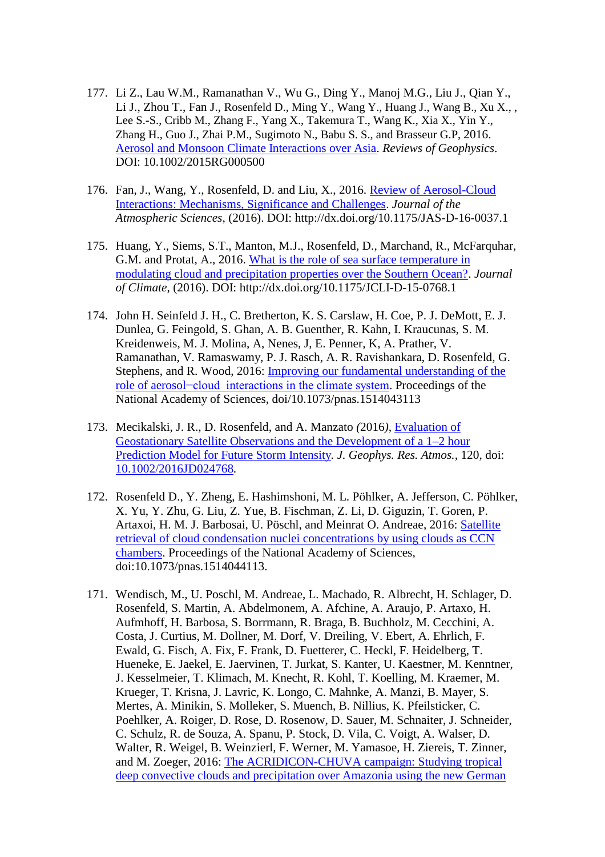- 177. Li Z., Lau W.M., Ramanathan V., Wu G., Ding Y., Manoj M.G., Liu J., Qian Y., Li J., Zhou T., Fan J., Rosenfeld D., Ming Y., Wang Y., Huang J., Wang B., Xu X., , Lee S.-S., Cribb M., Zhang F., Yang X., Takemura T., Wang K., Xia X., Yin Y., Zhang H., Guo J., Zhai P.M., Sugimoto N., Babu S. S., and Brasseur G.P, 2016. [Aerosol and Monsoon Climate Interactions over Asia.](https://www.researchgate.net/publication/308009476_Aerosol_and_Monsoon_Climate_Interactions_over_Asia_Aerosol_and_Monsoon_Climate_Interactions) *Reviews of Geophysics*. DOI: 10.1002/2015RG000500
- 176. Fan, J., Wang, Y., Rosenfeld, D. and Liu, X., 2016. [Review of Aerosol-Cloud](https://www.researchgate.net/publication/305218594_Review_of_Aerosol-Cloud_Interactions_Mechanisms_Significance_and_Challenges?ev=prf_pub)  [Interactions: Mechanisms, Significance and Challenges.](https://www.researchgate.net/publication/305218594_Review_of_Aerosol-Cloud_Interactions_Mechanisms_Significance_and_Challenges?ev=prf_pub) *Journal of the Atmospheric Sciences*, (2016). DOI: http://dx.doi.org/10.1175/JAS-D-16-0037.1
- 175. Huang, Y., Siems, S.T., Manton, M.J., Rosenfeld, D., Marchand, R., McFarquhar, G.M. and Protat, A., 2016. [What is the role of sea surface temperature in](https://www.researchgate.net/publication/305920239_What_is_the_role_of_sea_surface_temperature_in_modulating_cloud_and_precipitation_properties_over_the_Southern_Ocean)  [modulating cloud and precipitation properties over the Southern Ocean?.](https://www.researchgate.net/publication/305920239_What_is_the_role_of_sea_surface_temperature_in_modulating_cloud_and_precipitation_properties_over_the_Southern_Ocean) *Journal of Climate*, (2016). DOI: http://dx.doi.org/10.1175/JCLI-D-15-0768.1
- 174. John H. Seinfeld J. H., C. Bretherton, K. S. Carslaw, H. Coe, P. J. DeMott, E. J. Dunlea, G. Feingold, S. Ghan, A. B. Guenther, R. Kahn, I. Kraucunas, S. M. Kreidenweis, M. J. Molina, A, Nenes, J, E. Penner, K, A. Prather, V. Ramanathan, V. Ramaswamy, P. J. Rasch, A. R. Ravishankara, D. Rosenfeld, G. Stephens, and R. Wood, 2016: [Improving our fundamental understanding of the](https://www.researchgate.net/publication/303517810_Improving_our_fundamental_understanding_of_the_role_of_aerosol-cloud_interactions_in_the_climate_system)  [role of aerosol−cloud interactions in the climate system.](https://www.researchgate.net/publication/303517810_Improving_our_fundamental_understanding_of_the_role_of_aerosol-cloud_interactions_in_the_climate_system) Proceedings of the National Academy of Sciences, doi/10.1073/pnas.1514043113
- 173. Mecikalski, J. R.*,* D. Rosenfeld, and A. Manzato *(*2016*),* [Evaluation of](https://www.researchgate.net/publication/303293759_Evaluation_of_Geostationary_Satellite_Observations_and_the_Development_of_a_1-2_hour_Prediction_Model_for_Future_Storm_Intensity_Forecasting_Storm_Intensity)  [Geostationary Satellite Observations and the Development of a 1–2 hour](https://www.researchgate.net/publication/303293759_Evaluation_of_Geostationary_Satellite_Observations_and_the_Development_of_a_1-2_hour_Prediction_Model_for_Future_Storm_Intensity_Forecasting_Storm_Intensity)  [Prediction Model for Future Storm Intensity](https://www.researchgate.net/publication/303293759_Evaluation_of_Geostationary_Satellite_Observations_and_the_Development_of_a_1-2_hour_Prediction_Model_for_Future_Storm_Intensity_Forecasting_Storm_Intensity)*. J. Geophys. Res. Atmos.,* 120, doi: [10.1002/2016JD024768](http://dx.doi.org/10.1002/2016JD024768)*.*
- 172. Rosenfeld D., Y. Zheng, E. Hashimshoni, M. L. Pöhlker, A. Jefferson, C. Pöhlker, X. Yu, Y. Zhu, G. Liu, Z. Yue, B. Fischman, Z. Li, D. Giguzin, T. Goren, P. Artaxoi, H. M. J. Barbosai, U. Pöschl, and Meinrat O. Andreae, 2016: [Satellite](https://www.researchgate.net/publication/297149005_Satellite_retrieval_of_cloud_condensation_nuclei_concentrations_by_using_clouds_as_CCN_chambers)  [retrieval of cloud condensation nuclei concentrations by using clouds as CCN](https://www.researchgate.net/publication/297149005_Satellite_retrieval_of_cloud_condensation_nuclei_concentrations_by_using_clouds_as_CCN_chambers)  [chambers.](https://www.researchgate.net/publication/297149005_Satellite_retrieval_of_cloud_condensation_nuclei_concentrations_by_using_clouds_as_CCN_chambers) Proceedings of the National Academy of Sciences, doi:10.1073/pnas.1514044113.
- 171. Wendisch, M., U. Poschl, M. Andreae, L. Machado, R. Albrecht, H. Schlager, D. Rosenfeld, S. Martin, A. Abdelmonem, A. Afchine, A. Araujo, P. Artaxo, H. Aufmhoff, H. Barbosa, S. Borrmann, R. Braga, B. Buchholz, M. Cecchini, A. Costa, J. Curtius, M. Dollner, M. Dorf, V. Dreiling, V. Ebert, A. Ehrlich, F. Ewald, G. Fisch, A. Fix, F. Frank, D. Fuetterer, C. Heckl, F. Heidelberg, T. Hueneke, E. Jaekel, E. Jaervinen, T. Jurkat, S. Kanter, U. Kaestner, M. Kenntner, J. Kesselmeier, T. Klimach, M. Knecht, R. Kohl, T. Koelling, M. Kraemer, M. Krueger, T. Krisna, J. Lavric, K. Longo, C. Mahnke, A. Manzi, B. Mayer, S. Mertes, A. Minikin, S. Molleker, S. Muench, B. Nillius, K. Pfeilsticker, C. Poehlker, A. Roiger, D. Rose, D. Rosenow, D. Sauer, M. Schnaiter, J. Schneider, C. Schulz, R. de Souza, A. Spanu, P. Stock, D. Vila, C. Voigt, A. Walser, D. Walter, R. Weigel, B. Weinzierl, F. Werner, M. Yamasoe, H. Ziereis, T. Zinner, and M. Zoeger, 2016: [The ACRIDICON-CHUVA campaign: Studying tropical](https://www.researchgate.net/publication/292213824_The_ACRIDICON-CHUVA_campaign_Studying_tropical_deep_convective_clouds_and_precipitation_over_Amazonia_using_the_new_German_research_aircraft_HALO?ev=prf_pub)  [deep convective clouds and precipitation over Amazonia using the new German](https://www.researchgate.net/publication/292213824_The_ACRIDICON-CHUVA_campaign_Studying_tropical_deep_convective_clouds_and_precipitation_over_Amazonia_using_the_new_German_research_aircraft_HALO?ev=prf_pub)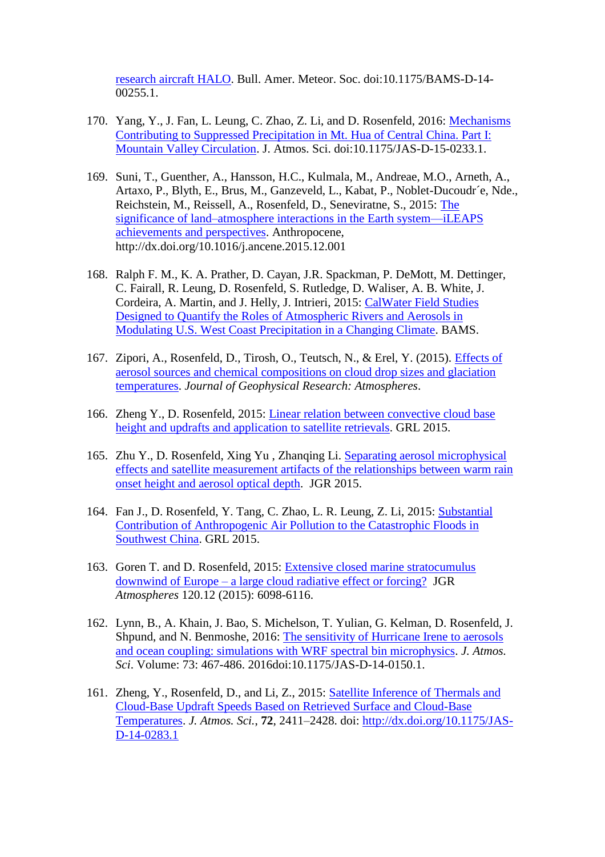[research aircraft HALO.](https://www.researchgate.net/publication/292213824_The_ACRIDICON-CHUVA_campaign_Studying_tropical_deep_convective_clouds_and_precipitation_over_Amazonia_using_the_new_German_research_aircraft_HALO?ev=prf_pub) Bull. Amer. Meteor. Soc. doi:10.1175/BAMS-D-14- 00255.1.

- 170. Yang, Y., J. Fan, L. Leung, C. Zhao, Z. Li, and D. Rosenfeld, 2016: [Mechanisms](https://www.researchgate.net/publication/290509238_Mechanisms_Contributing_to_Suppressed_Precipitation_in_Mt_Hua_of_Central_China_Part_I_Mountain_Valley_Circulation?ev=prf_pub)  [Contributing to Suppressed Precipitation in Mt. Hua of Central China. Part I:](https://www.researchgate.net/publication/290509238_Mechanisms_Contributing_to_Suppressed_Precipitation_in_Mt_Hua_of_Central_China_Part_I_Mountain_Valley_Circulation?ev=prf_pub)  [Mountain Valley Circulation.](https://www.researchgate.net/publication/290509238_Mechanisms_Contributing_to_Suppressed_Precipitation_in_Mt_Hua_of_Central_China_Part_I_Mountain_Valley_Circulation?ev=prf_pub) J. Atmos. Sci. doi:10.1175/JAS-D-15-0233.1.
- 169. Suni, T., Guenther, A., Hansson, H.C., Kulmala, M., Andreae, M.O., Arneth, A., Artaxo, P., Blyth, E., Brus, M., Ganzeveld, L., Kabat, P., Noblet-Ducoudr´e, Nde., Reichstein, M., Reissell, A., Rosenfeld, D., Seneviratne, S., 2015: [The](https://www.researchgate.net/publication/289991984_The_significance_of_land-atmosphere_interactions_in_the_Earth_system_-_ILEAPS_achievements_and_perspectives?ev=prf_pub)  [significance of land–atmosphere interactions in the Earth system—iLEAPS](https://www.researchgate.net/publication/289991984_The_significance_of_land-atmosphere_interactions_in_the_Earth_system_-_ILEAPS_achievements_and_perspectives?ev=prf_pub)  [achievements and perspectives.](https://www.researchgate.net/publication/289991984_The_significance_of_land-atmosphere_interactions_in_the_Earth_system_-_ILEAPS_achievements_and_perspectives?ev=prf_pub) Anthropocene, http://dx.doi.org/10.1016/j.ancene.2015.12.001
- 168. Ralph F. M., K. A. Prather, D. Cayan, J.R. Spackman, P. DeMott, M. Dettinger, C. Fairall, R. Leung, D. Rosenfeld, S. Rutledge, D. Waliser, A. B. White, J. Cordeira, A. Martin, and J. Helly, J. Intrieri, 2015: [CalWater Field Studies](https://www.researchgate.net/publication/283683115_CalWater_Field_Studies_Designed_to_Quantify_the_Roles_of_Atmospheric_Rivers_and_Aerosols_in_Modulating_US_West_Coast_Precipitation_in_a_Changing_Climate)  [Designed to Quantify the Roles of Atmospheric Rivers and Aerosols in](https://www.researchgate.net/publication/283683115_CalWater_Field_Studies_Designed_to_Quantify_the_Roles_of_Atmospheric_Rivers_and_Aerosols_in_Modulating_US_West_Coast_Precipitation_in_a_Changing_Climate)  [Modulating U.S. West Coast Precipitation in a Changing Climate.](https://www.researchgate.net/publication/283683115_CalWater_Field_Studies_Designed_to_Quantify_the_Roles_of_Atmospheric_Rivers_and_Aerosols_in_Modulating_US_West_Coast_Precipitation_in_a_Changing_Climate) BAMS.
- 167. Zipori, A., Rosenfeld, D., Tirosh, O., Teutsch, N., & Erel, Y. (2015). [Effects of](https://www.researchgate.net/publication/281747427_Effects_of_aerosol_sources_and_chemical_compositions_on_cloud_drop_sizes_and_glaciation_temperatures?ev=prf_pub)  [aerosol sources and chemical compositions on cloud drop sizes and glaciation](https://www.researchgate.net/publication/281747427_Effects_of_aerosol_sources_and_chemical_compositions_on_cloud_drop_sizes_and_glaciation_temperatures?ev=prf_pub)  [temperatures.](https://www.researchgate.net/publication/281747427_Effects_of_aerosol_sources_and_chemical_compositions_on_cloud_drop_sizes_and_glaciation_temperatures?ev=prf_pub) *Journal of Geophysical Research: Atmospheres*.
- 166. Zheng Y., D. Rosenfeld, 2015: [Linear relation between convective cloud base](https://www.researchgate.net/publication/280233388_Linear_relation_between_convective_cloud_base_height_and_updrafts_and_application_to_satellite_retrievals?ev=prf_pub)  [height and updrafts and application to satellite retrievals.](https://www.researchgate.net/publication/280233388_Linear_relation_between_convective_cloud_base_height_and_updrafts_and_application_to_satellite_retrievals?ev=prf_pub) GRL 2015.
- 165. Zhu Y., D. Rosenfeld, Xing Yu , Zhanqing Li. [Separating aerosol microphysical](https://www.researchgate.net/publication/280233311_Separating_aerosol_microphysical_effects_and_satellite_measurement_artifacts_of_the_relationships_between_warm_rain_onset_height_and_aerosol_optical_depth)  [effects and satellite measurement artifacts of the relationships between warm rain](https://www.researchgate.net/publication/280233311_Separating_aerosol_microphysical_effects_and_satellite_measurement_artifacts_of_the_relationships_between_warm_rain_onset_height_and_aerosol_optical_depth)  [onset height and aerosol optical depth.](https://www.researchgate.net/publication/280233311_Separating_aerosol_microphysical_effects_and_satellite_measurement_artifacts_of_the_relationships_between_warm_rain_onset_height_and_aerosol_optical_depth) JGR 2015.
- 164. Fan J., D. Rosenfeld, Y. Tang, C. Zhao, L. R. Leung, Z. Li, 2015: [Substantial](https://www.researchgate.net/publication/280084255_Substantial_Contribution_of_Anthropogenic_Air_Pollution_to_Catastrophic_Floods_in_Southwest_China)  [Contribution of Anthropogenic Air Pollution to the Catastrophic Floods in](https://www.researchgate.net/publication/280084255_Substantial_Contribution_of_Anthropogenic_Air_Pollution_to_Catastrophic_Floods_in_Southwest_China)  [Southwest China.](https://www.researchgate.net/publication/280084255_Substantial_Contribution_of_Anthropogenic_Air_Pollution_to_Catastrophic_Floods_in_Southwest_China) GRL 2015.
- 163. Goren T. and D. Rosenfeld, 2015: [Extensive closed marine stratocumulus](https://www.researchgate.net/publication/277814973_Extensive_closed-cell_marine_stratocumulus_downwind_of_Europe_-_A_large_aerosol_cloud_mediated_radiative_effect_or_forcing_Closed_Cells_Formation_Downwind_Europe)  downwind of Europe – [a large cloud radiative effect or forcing?](https://www.researchgate.net/publication/277814973_Extensive_closed-cell_marine_stratocumulus_downwind_of_Europe_-_A_large_aerosol_cloud_mediated_radiative_effect_or_forcing_Closed_Cells_Formation_Downwind_Europe) JGR *Atmospheres* 120.12 (2015): 6098-6116.
- 162. Lynn, B., A. Khain, J. Bao, S. Michelson, T. Yulian, G. Kelman, D. Rosenfeld, J. Shpund, and N. Benmoshe, 2016: [The sensitivity of Hurricane Irene to aerosols](https://www.researchgate.net/publication/275252224_The_sensitivity_of_Hurricane_Irene_to_aerosols_and_ocean_coupling_simulations_with_WRF_spectral_bin_microphysics)  [and ocean coupling: simulations with WRF spectral bin microphysics.](https://www.researchgate.net/publication/275252224_The_sensitivity_of_Hurricane_Irene_to_aerosols_and_ocean_coupling_simulations_with_WRF_spectral_bin_microphysics) *J. Atmos. Sci*. Volume: 73: 467-486. 2016doi:10.1175/JAS-D-14-0150.1.
- 161. Zheng, Y., Rosenfeld, D., and Li, Z., 2015: [Satellite Inference of Thermals and](https://www.researchgate.net/publication/273462055_Satellite_Inference_of_Thermals_and_Cloud-Base_Updraft_Speeds_Based_on_Retrieved_Surface_and_Cloud-Base_Temperatures)  [Cloud-Base Updraft Speeds Based on Retrieved Surface and Cloud-Base](https://www.researchgate.net/publication/273462055_Satellite_Inference_of_Thermals_and_Cloud-Base_Updraft_Speeds_Based_on_Retrieved_Surface_and_Cloud-Base_Temperatures)  [Temperatures.](https://www.researchgate.net/publication/273462055_Satellite_Inference_of_Thermals_and_Cloud-Base_Updraft_Speeds_Based_on_Retrieved_Surface_and_Cloud-Base_Temperatures) *J. Atmos. Sci.*, **72**, 2411–2428. doi: [http://dx.doi.org/10.1175/JAS-](http://dx.doi.org/10.1175/JAS-D-14-0283.1)[D-14-0283.1](http://dx.doi.org/10.1175/JAS-D-14-0283.1)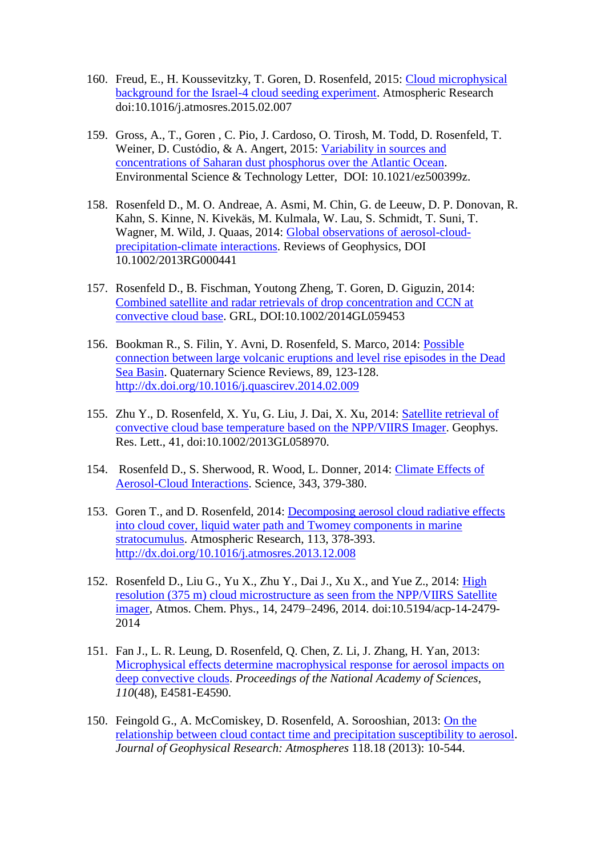- 160. Freud, E., H. Koussevitzky, T. Goren, D. Rosenfeld, 2015: [Cloud microphysical](https://www.researchgate.net/publication/272793788_Cloud_microphysical_background_for_the_Israel-4_cloud_seeding_experiment)  [background for the Israel-4 cloud seeding experiment.](https://www.researchgate.net/publication/272793788_Cloud_microphysical_background_for_the_Israel-4_cloud_seeding_experiment) Atmospheric Research [doi:10.1016/j.atmosres.2015.02.007](https://samba.huji.ac.il/+CSCO+0h756767633A2F2F716B2E7162762E626574++/10.1016/j.atmosres.2015.02.007)
- 159. Gross, A., T., Goren , C. Pio, J. Cardoso, O. Tirosh, M. Todd, D. Rosenfeld, T. Weiner, D. Custódio, & A. Angert, 2015: [Variability in sources and](https://www.researchgate.net/publication/273205593_Variability_in_Sources_and_Concentrations_of_Saharan_Dust_Phosphorus_over_the_Atlantic_Ocean)  [concentrations of Saharan dust phosphorus over the Atlantic Ocean.](https://www.researchgate.net/publication/273205593_Variability_in_Sources_and_Concentrations_of_Saharan_Dust_Phosphorus_over_the_Atlantic_Ocean) Environmental Science & Technology Letter, DOI: 10.1021/ez500399z.
- 158. Rosenfeld D., M. O. Andreae, A. Asmi, M. Chin, G. de Leeuw, D. P. Donovan, R. Kahn, S. Kinne, N. Kivekäs, M. Kulmala, W. Lau, S. Schmidt, T. Suni, T. Wagner, M. Wild, J. Quaas, 2014: [Global observations of aerosol-cloud](https://www.researchgate.net/publication/265389490_Global_observations_of_aerosol-cloud-precipitation-climate_interactions)[precipitation-climate interactions.](https://www.researchgate.net/publication/265389490_Global_observations_of_aerosol-cloud-precipitation-climate_interactions) Reviews of Geophysics, DOI 10.1002/2013RG000441
- 157. Rosenfeld D., B. Fischman, Youtong Zheng, T. Goren, D. Giguzin, 2014: [Combined satellite and radar retrievals of drop concentration and CCN at](https://www.researchgate.net/publication/261329992_Combined_satellite_and_radar_retrievals_of_drop_concentration_and_CCN_at_convective_cloud_base)  [convective cloud base.](https://www.researchgate.net/publication/261329992_Combined_satellite_and_radar_retrievals_of_drop_concentration_and_CCN_at_convective_cloud_base) GRL, DOI:10.1002/2014GL059453
- 156. Bookman R., S. Filin, Y. Avni, D. Rosenfeld, S. Marco, 2014: [Possible](https://www.researchgate.net/publication/260804164_Possible_connection_between_large_volcanic_eruptions_and_level_rise_episodes_in_the_Dead_Sea_Basin)  [connection between large volcanic eruptions and level rise episodes in the Dead](https://www.researchgate.net/publication/260804164_Possible_connection_between_large_volcanic_eruptions_and_level_rise_episodes_in_the_Dead_Sea_Basin)  [Sea Basin.](https://www.researchgate.net/publication/260804164_Possible_connection_between_large_volcanic_eruptions_and_level_rise_episodes_in_the_Dead_Sea_Basin) Quaternary Science Reviews, 89, 123-128. <http://dx.doi.org/10.1016/j.quascirev.2014.02.009>
- 155. Zhu Y., D. Rosenfeld, X. Yu, G. Liu, J. Dai, X. Xu, 2014: [Satellite retrieval of](https://www.researchgate.net/publication/260411458_Satellite_retrieval_of_convective_cloud_base_temperature_based_on_the_NPPVIIRS_Imager)  [convective cloud base temperature based on the NPP/VIIRS Imager.](https://www.researchgate.net/publication/260411458_Satellite_retrieval_of_convective_cloud_base_temperature_based_on_the_NPPVIIRS_Imager) Geophys. Res. Lett., 41, doi:10.1002/2013GL058970.
- 154. Rosenfeld D., S. Sherwood, R. Wood, L. Donner, 2014: [Climate Effects of](https://www.researchgate.net/publication/259883140_Climate_Effects_of_Aerosol-Cloud_Interactions)  [Aerosol-Cloud Interactions.](https://www.researchgate.net/publication/259883140_Climate_Effects_of_Aerosol-Cloud_Interactions) Science, 343, 379-380.
- 153. Goren T., and D. Rosenfeld, 2014: [Decomposing aerosol cloud radiative effects](https://www.researchgate.net/publication/260026828_Decomposing_aerosol_cloud_radiative_effects_into_cloud_cover_liquid_water_path_and_Twomey_components_in_marine_stratocumulus)  [into cloud cover, liquid water path and Twomey components in marine](https://www.researchgate.net/publication/260026828_Decomposing_aerosol_cloud_radiative_effects_into_cloud_cover_liquid_water_path_and_Twomey_components_in_marine_stratocumulus)  [stratocumulus.](https://www.researchgate.net/publication/260026828_Decomposing_aerosol_cloud_radiative_effects_into_cloud_cover_liquid_water_path_and_Twomey_components_in_marine_stratocumulus) Atmospheric Research, 113, 378-393. <http://dx.doi.org/10.1016/j.atmosres.2013.12.008>
- 152. Rosenfeld D., Liu G., Yu X., Zhu Y., Dai J., Xu X., and Yue Z., 2014: [High](https://www.researchgate.net/publication/260871068_High_resolution_375_m_cloud_microstructure_as_seen_from_the_NPPVIIRS_Satellite_imager)  [resolution \(375 m\) cloud microstructure as seen from the NPP/VIIRS Satellite](https://www.researchgate.net/publication/260871068_High_resolution_375_m_cloud_microstructure_as_seen_from_the_NPPVIIRS_Satellite_imager)  [imager,](https://www.researchgate.net/publication/260871068_High_resolution_375_m_cloud_microstructure_as_seen_from_the_NPPVIIRS_Satellite_imager) Atmos. Chem. Phys., 14, 2479–2496, 2014. doi:10.5194/acp-14-2479- 2014
- 151. Fan J., L. R. Leung, D. Rosenfeld, Q. Chen, Z. Li, J. Zhang, H. Yan, 2013: [Microphysical effects determine macrophysical response for aerosol impacts](https://www.researchgate.net/publication/258446189_Microphysical_effects_determine_macrophysical_response_for_aerosol_impact_on_deep_convective_clouds?ev=srch_pub&_sg=DnWlkdrBbjKMGDlZDXupMS5bnKsuQ58GtPo58KCa0Rq_Y_NNadbQd3ObpOQcB8QF.Rp9TFfs19NRgVVXJ0lczdcmB) on [deep convective clouds.](https://www.researchgate.net/publication/258446189_Microphysical_effects_determine_macrophysical_response_for_aerosol_impact_on_deep_convective_clouds?ev=srch_pub&_sg=DnWlkdrBbjKMGDlZDXupMS5bnKsuQ58GtPo58KCa0Rq_Y_NNadbQd3ObpOQcB8QF.Rp9TFfs19NRgVVXJ0lczdcmB) *Proceedings of the National Academy of Sciences*, *110*(48), E4581-E4590.
- 150. Feingold G., A. McComiskey, D. Rosenfeld, A. Sorooshian, 2013: [On the](https://www.researchgate.net/publication/260406834_On_the_relationship_between_cloud_contact_time_and_precipitation_susceptibility_to_aerosol)  [relationship between cloud contact time and precipitation susceptibility to aerosol.](https://www.researchgate.net/publication/260406834_On_the_relationship_between_cloud_contact_time_and_precipitation_susceptibility_to_aerosol) *Journal of Geophysical Research: Atmospheres* 118.18 (2013): 10-544.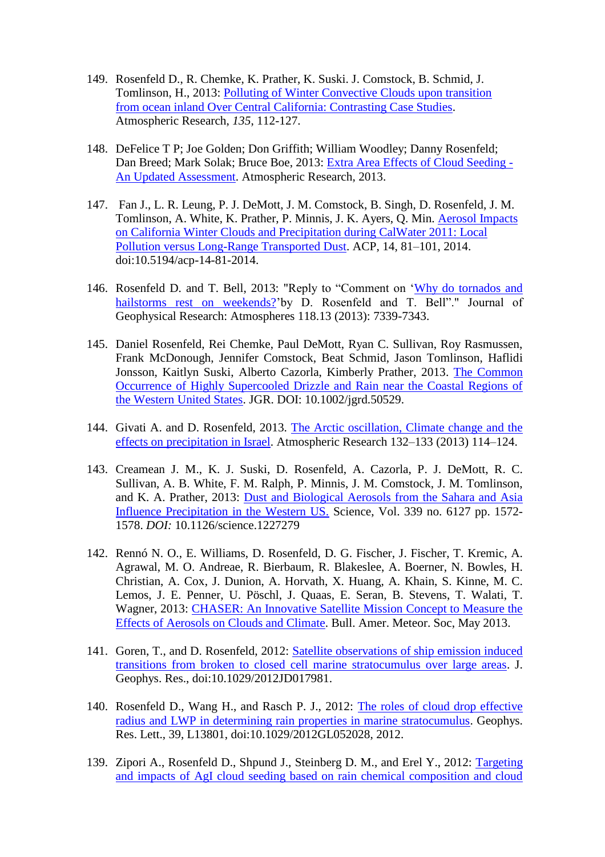- 149. Rosenfeld D., R. Chemke, K. Prather, K. Suski. J. Comstock, B. Schmid, J. Tomlinson, H., 2013: [Polluting of Winter Convective Clouds upon transition](https://www.researchgate.net/publication/258109537_Polluting_of_winter_convective_clouds_upon_transition_from_ocean_inland_over_central_California_Contrasting_case_studies)  [from ocean inland Over Central California: Contrasting Case Studies.](https://www.researchgate.net/publication/258109537_Polluting_of_winter_convective_clouds_upon_transition_from_ocean_inland_over_central_California_Contrasting_case_studies) Atmospheric Research, *135*, 112-127.
- 148. DeFelice T P; Joe Golden; Don Griffith; William Woodley; Danny Rosenfeld; Dan Breed; Mark Solak; Bruce Boe, 2013: [Extra Area Effects of Cloud Seeding -](https://www.researchgate.net/publication/259119803_Extra_area_effects_of_cloud_seeding_-_An_updated_assessment) [An Updated Assessment.](https://www.researchgate.net/publication/259119803_Extra_area_effects_of_cloud_seeding_-_An_updated_assessment) Atmospheric Research, 2013.
- 147. Fan J., L. R. Leung, P. J. DeMott, J. M. Comstock, B. Singh, D. Rosenfeld, J. M. Tomlinson, A. White, K. Prather, P. Minnis, J. K. Ayers, Q. Min. [Aerosol Impacts](https://www.researchgate.net/publication/260870967_Aerosol_impacts_on_California_winter_clouds_and_precipitation_during_CalWater_2011_local_pollution_vs_long-range_transported_dust)  [on California Winter Clouds and Precipitation during CalWater 2011: Local](https://www.researchgate.net/publication/260870967_Aerosol_impacts_on_California_winter_clouds_and_precipitation_during_CalWater_2011_local_pollution_vs_long-range_transported_dust)  [Pollution versus Long-Range Transported Dust.](https://www.researchgate.net/publication/260870967_Aerosol_impacts_on_California_winter_clouds_and_precipitation_during_CalWater_2011_local_pollution_vs_long-range_transported_dust) ACP, 14, 81–101, 2014. doi:10.5194/acp-14-81-2014.
- 146. Rosenfeld D. and T. Bell, 2013: "Reply to "Comment on ['Why do tornados and](https://www.researchgate.net/publication/260328016_Reply_to_comment_by_S_E_Yuter_et_al_on_Why_do_tornados_and_hailstorms_rest_on_weekends)  [hailstorms rest on weekends?'](https://www.researchgate.net/publication/260328016_Reply_to_comment_by_S_E_Yuter_et_al_on_Why_do_tornados_and_hailstorms_rest_on_weekends)by D. Rosenfeld and T. Bell"." Journal of Geophysical Research: Atmospheres 118.13 (2013): 7339-7343.
- 145. Daniel Rosenfeld, Rei Chemke, Paul DeMott, Ryan C. Sullivan, Roy Rasmussen, Frank McDonough, Jennifer Comstock, Beat Schmid, Jason Tomlinson, Haflidi Jonsson, Kaitlyn Suski, Alberto Cazorla, Kimberly Prather, 2013. [The Common](https://www.researchgate.net/publication/257417912_The_Common_Occurrence_of_Highly_Supercooled_Drizzle_and_Rain_near_the_Coastal_Regions_of_the_Western_United_States)  [Occurrence of Highly Supercooled Drizzle and Rain near the Coastal Regions of](https://www.researchgate.net/publication/257417912_The_Common_Occurrence_of_Highly_Supercooled_Drizzle_and_Rain_near_the_Coastal_Regions_of_the_Western_United_States)  [the Western United States.](https://www.researchgate.net/publication/257417912_The_Common_Occurrence_of_Highly_Supercooled_Drizzle_and_Rain_near_the_Coastal_Regions_of_the_Western_United_States) JGR. DOI: 10.1002/jgrd.50529.
- 144. Givati A. and D. Rosenfeld, 2013. [The Arctic oscillation, Climate change and the](https://www.researchgate.net/publication/257035591_The_Arctic_Oscillation_climate_change_and_the_effects_on_precipitation_in_Israel)  [effects on precipitation in Israel.](https://www.researchgate.net/publication/257035591_The_Arctic_Oscillation_climate_change_and_the_effects_on_precipitation_in_Israel) Atmospheric Research 132–133 (2013) 114–124.
- 143. Creamean J. M., K. J. Suski, D. Rosenfeld, A. Cazorla, P. J. DeMott, R. C. Sullivan, A. B. White, F. M. Ralph, P. Minnis, J. M. Comstock, J. M. Tomlinson, and K. A. Prather, 2013: [Dust and Biological Aerosols from the Sahara and Asia](https://www.researchgate.net/publication/234058699_CHASER_An_Innovative_Satellite_Mission_Concept_to_Measure_the_Effects_of_Aerosols_on_Clouds_and_Climate)  [Influence Precipitation in the Western US.](https://www.researchgate.net/publication/234058699_CHASER_An_Innovative_Satellite_Mission_Concept_to_Measure_the_Effects_of_Aerosols_on_Clouds_and_Climate) Science, Vol. 339 no. 6127 pp. 1572- 1578. *DOI:* 10.1126/science.1227279
- 142. Rennó N. O., E. Williams, D. Rosenfeld, D. G. Fischer, J. Fischer, T. Kremic, A. Agrawal, M. O. Andreae, R. Bierbaum, R. Blakeslee, A. Boerner, N. Bowles, H. Christian, A. Cox, J. Dunion, A. Horvath, X. Huang, A. Khain, S. Kinne, M. C. Lemos, J. E. Penner, U. Pöschl, J. Quaas, E. Seran, B. Stevens, T. Walati, T. Wagner, 2013: [CHASER: An Innovative Satellite Mission Concept to Measure the](https://www.researchgate.net/publication/234058699_CHASER_An_Innovative_Satellite_Mission_Concept_to_Measure_the_Effects_of_Aerosols_on_Clouds_and_Climate)  [Effects of Aerosols on Clouds and Climate.](https://www.researchgate.net/publication/234058699_CHASER_An_Innovative_Satellite_Mission_Concept_to_Measure_the_Effects_of_Aerosols_on_Clouds_and_Climate) Bull. Amer. Meteor. Soc, May 2013.
- 141. Goren, T., and D. Rosenfeld, 2012: [Satellite observations of ship emission induced](https://www.researchgate.net/publication/257417301_Correction_to_Satellite_observations_of_ship_emission_induced_transitions_from_broken_to_closed_cell_marine_stratocumulus_over_large_areas)  [transitions from broken to closed cell marine stratocumulus over large areas.](https://www.researchgate.net/publication/257417301_Correction_to_Satellite_observations_of_ship_emission_induced_transitions_from_broken_to_closed_cell_marine_stratocumulus_over_large_areas) J. Geophys. Res., doi:10.1029/2012JD017981.
- 140. Rosenfeld D., Wang H., and Rasch P. J., 2012: [The roles of cloud drop effective](https://www.researchgate.net/publication/255001753_The_Roles_of_Cloud_Drop_Effective_Radius_and_LWP_in_Determining_Rain_Properties_in_Marine_Stratocumulus)  [radius and LWP in determining rain properties in marine stratocumulus.](https://www.researchgate.net/publication/255001753_The_Roles_of_Cloud_Drop_Effective_Radius_and_LWP_in_Determining_Rain_Properties_in_Marine_Stratocumulus) Geophys. Res. Lett., 39, L13801, doi:10.1029/2012GL052028, 2012.
- 139. Zipori A., Rosenfeld D., Shpund J., Steinberg D. M., and Erel Y., 2012: [Targeting](https://www.researchgate.net/publication/257035712_Targeting_and_impacts_of_AgI_cloud_seeding_based_on_rain_chemical_composition_and_cloud_top_phase_characterization)  [and impacts of AgI cloud seeding based on rain chemical composition and cloud](https://www.researchgate.net/publication/257035712_Targeting_and_impacts_of_AgI_cloud_seeding_based_on_rain_chemical_composition_and_cloud_top_phase_characterization)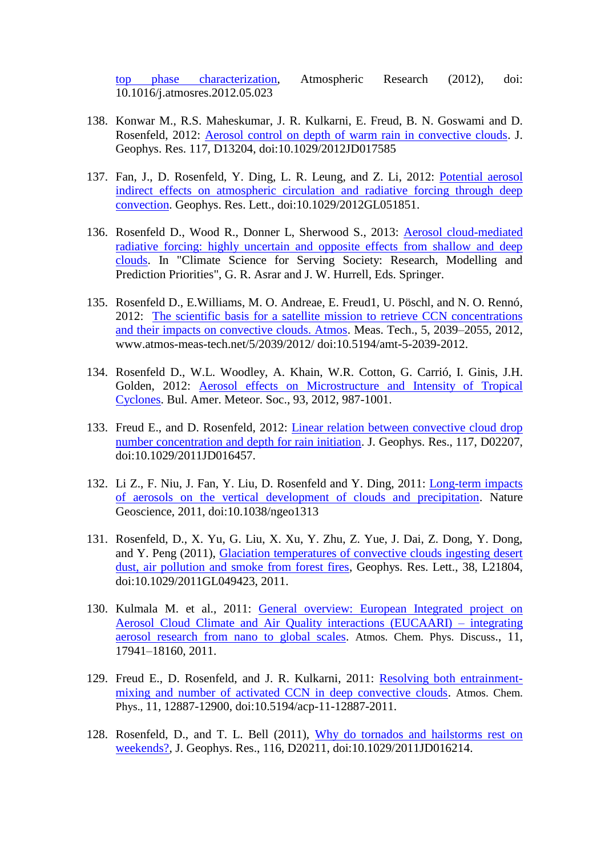[top phase characterization,](https://www.researchgate.net/publication/257035712_Targeting_and_impacts_of_AgI_cloud_seeding_based_on_rain_chemical_composition_and_cloud_top_phase_characterization) Atmospheric Research (2012), doi: 10.1016/j.atmosres.2012.05.023

- 138. Konwar M., R.S. Maheskumar, J. R. Kulkarni, E. Freud, B. N. Goswami and D. Rosenfeld, 2012: [Aerosol control on depth of warm rain in convective clouds.](https://www.researchgate.net/publication/257417342_Aerosol_control_on_depth_of_warm_rain_in_convective_clouds) J. Geophys. Res. 117, D13204, doi:10.1029/2012JD017585
- 137. Fan, J., D. Rosenfeld, Y. Ding, L. R. Leung, and Z. Li, 2012: [Potential aerosol](https://www.researchgate.net/publication/237191951_Potential_aerosol_indirect_effects_on_atmospheric_circulation_and_radiative_forcing_through_deep_convection)  [indirect effects on atmospheric circulation and radiative forcing through deep](https://www.researchgate.net/publication/237191951_Potential_aerosol_indirect_effects_on_atmospheric_circulation_and_radiative_forcing_through_deep_convection)  [convection.](https://www.researchgate.net/publication/237191951_Potential_aerosol_indirect_effects_on_atmospheric_circulation_and_radiative_forcing_through_deep_convection) Geophys. Res. Lett., doi:10.1029/2012GL051851.
- 136. Rosenfeld D., Wood R., Donner L, Sherwood S., 2013: [Aerosol cloud-mediated](https://www.researchgate.net/publication/257417277_Aerosol_Cloud-Mediated_Radiative_Forcing_Highly_Uncertain_and_Opposite_Effects_from_Shallow_and_Deep_Clouds)  [radiative forcing: highly uncertain and opposite effects from shallow and deep](https://www.researchgate.net/publication/257417277_Aerosol_Cloud-Mediated_Radiative_Forcing_Highly_Uncertain_and_Opposite_Effects_from_Shallow_and_Deep_Clouds)  [clouds.](https://www.researchgate.net/publication/257417277_Aerosol_Cloud-Mediated_Radiative_Forcing_Highly_Uncertain_and_Opposite_Effects_from_Shallow_and_Deep_Clouds) In "Climate Science for Serving Society: Research, Modelling and Prediction Priorities", G. R. Asrar and J. W. Hurrell, Eds. Springer.
- 135. Rosenfeld D., E.Williams, M. O. Andreae, E. Freud1, U. Pöschl, and N. O. Rennó, 2012: [The scientific basis for a satellite mission to retrieve CCN concentrations](https://www.researchgate.net/publication/257417076_The_scientific_basis_for_a_satellite_mission_to_retrieve_CCN_concentrations_and_their_impacts_on_convective_clouds)  [and their impacts on convective clouds. Atmos.](https://www.researchgate.net/publication/257417076_The_scientific_basis_for_a_satellite_mission_to_retrieve_CCN_concentrations_and_their_impacts_on_convective_clouds) Meas. Tech., 5, 2039–2055, 2012, [www.atmos-meas-tech.net/5/2039/2012/](http://www.atmos-meas-tech.net/5/2039/2012/) doi:10.5194/amt-5-2039-2012.
- 134. Rosenfeld D., W.L. Woodley, A. Khain, W.R. Cotton, G. Carrió, I. Ginis, J.H. Golden, 2012: [Aerosol effects on Microstructure and Intensity of Tropical](https://www.researchgate.net/publication/256198017_Aerosol_Effects_on_Microstructure_and_Intensity_of_Tropical_Cyclones)  [Cyclones.](https://www.researchgate.net/publication/256198017_Aerosol_Effects_on_Microstructure_and_Intensity_of_Tropical_Cyclones) Bul. Amer. Meteor. Soc., 93, 2012, 987-1001.
- 133. Freud E., and D. Rosenfeld, 2012: [Linear relation between convective cloud drop](https://www.researchgate.net/publication/257416943_Linear_relation_between_convective_cloud_drop_number_concentration_and_depth_for_rain_initiation)  [number concentration and depth for rain initiation.](https://www.researchgate.net/publication/257416943_Linear_relation_between_convective_cloud_drop_number_concentration_and_depth_for_rain_initiation) J. Geophys. Res., 117, D02207, doi:10.1029/2011JD016457.
- 132. Li Z., F. Niu, J. Fan, Y. Liu, D. Rosenfeld and Y. Ding, 2011: [Long-term impacts](https://www.researchgate.net/publication/232777663_Long-term_impacts_of_aerosols_on_the_vertical_development_of_clouds_and_precipitation)  [of aerosols on the vertical development of clouds and precipitation.](https://www.researchgate.net/publication/232777663_Long-term_impacts_of_aerosols_on_the_vertical_development_of_clouds_and_precipitation) Nature Geoscience, 2011, doi:10.1038/ngeo1313
- 131. Rosenfeld, D., X. Yu, G. Liu, X. Xu, Y. Zhu, Z. Yue, J. Dai, Z. Dong, Y. Dong, and Y. Peng (2011), [Glaciation temperatures of convective clouds ingesting desert](https://www.researchgate.net/publication/253444428_Glaciation_temperatures_of_convective_clouds_ingesting_desert_dust_air_pollution_and_smoke_from_forest_fires)  [dust, air pollution and smoke from forest fires,](https://www.researchgate.net/publication/253444428_Glaciation_temperatures_of_convective_clouds_ingesting_desert_dust_air_pollution_and_smoke_from_forest_fires) Geophys. Res. Lett., 38, L21804, doi:10.1029/2011GL049423, 2011.
- 130. Kulmala M. et al., 2011: [General overview: European Integrated project on](https://www.researchgate.net/publication/223996501_General_overview_European_Integrated_project_on_Aerosol_Cloud_Climate_and_Air_Quality_interactions_EUCAARI_-_integrating_aerosol_research_from_nano_to_global_scales)  [Aerosol Cloud Climate and Air Quality interactions \(EUCAARI\) –](https://www.researchgate.net/publication/223996501_General_overview_European_Integrated_project_on_Aerosol_Cloud_Climate_and_Air_Quality_interactions_EUCAARI_-_integrating_aerosol_research_from_nano_to_global_scales) integrating [aerosol research from nano to global scales.](https://www.researchgate.net/publication/223996501_General_overview_European_Integrated_project_on_Aerosol_Cloud_Climate_and_Air_Quality_interactions_EUCAARI_-_integrating_aerosol_research_from_nano_to_global_scales) Atmos. Chem. Phys. Discuss., 11, 17941–18160, 2011.
- 129. Freud E., D. Rosenfeld, and J. R. Kulkarni, 2011: [Resolving both entrainment](https://www.researchgate.net/publication/253866913_Resolving_both_entrainment-mixing_and_number_of_activated_CCN_in_deep_convective_clouds)[mixing and number of activated CCN in deep convective clouds.](https://www.researchgate.net/publication/253866913_Resolving_both_entrainment-mixing_and_number_of_activated_CCN_in_deep_convective_clouds) Atmos. Chem. Phys., 11, 12887-12900, doi:10.5194/acp-11-12887-2011.
- 128. Rosenfeld, D., and T. L. Bell (2011), [Why do tornados and hailstorms rest on](https://www.researchgate.net/publication/233921195_Why_do_tornados_and_hailstorms_rest_on_weekends)  [weekends?,](https://www.researchgate.net/publication/233921195_Why_do_tornados_and_hailstorms_rest_on_weekends) J. Geophys. Res., 116, D20211, doi:10.1029/2011JD016214.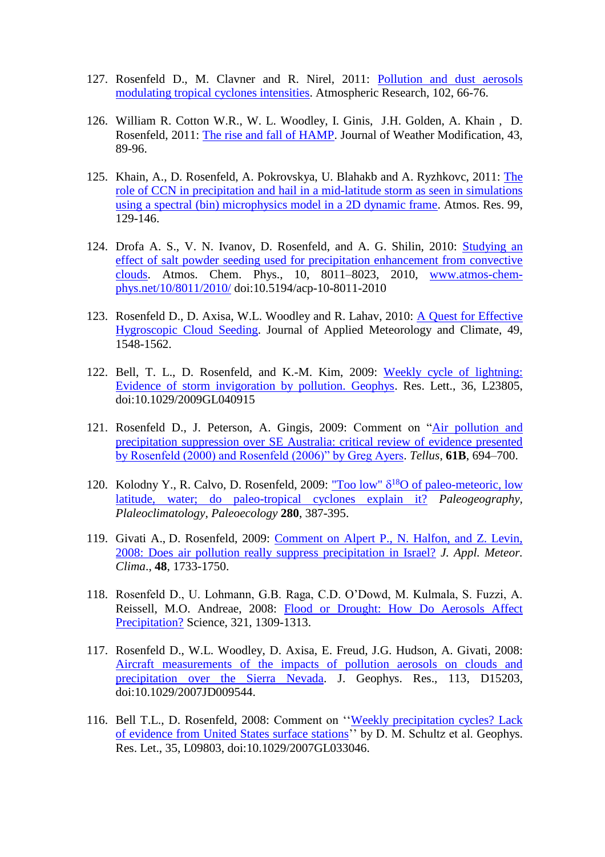- 127. Rosenfeld D., M. Clavner and R. Nirel, 2011: [Pollution and dust aerosols](https://www.researchgate.net/publication/238504179_Pollution_and_dust_aerosols_modulating_tropical_cyclone_intensities)  [modulating tropical cyclones intensities.](https://www.researchgate.net/publication/238504179_Pollution_and_dust_aerosols_modulating_tropical_cyclone_intensities) Atmospheric Research, 102, 66-76.
- 126. William R. Cotton W.R., W. L. Woodley, I. Ginis, J.H. Golden, A. Khain , D. Rosenfeld, 2011: [The rise and fall of HAMP.](https://www.researchgate.net/publication/257416805_The_rise_and_fall_of_HAMP) Journal of Weather Modification, 43, 89-96.
- 125. Khain, A., D. Rosenfeld, A. Pokrovsk[ya,](http://www.sciencedirect.com/science?_ob=ArticleURL&_udi=B6V95-514R62C-2&_user=626711&_coverDate=10%2F01%2F2010&_rdoc=1&_fmt=high&_orig=search&_origin=search&_sort=d&_docanchor=&view=c&_searchStrId=1496506565&_rerunOrigin=scholar.google&_acct=C000032999&_version=1&_urlVersion=0&_userid=626711&md5=8c5ca197f332a7314f8c6261fd95ec60&searchtype=a#af0005) U. Blaha[kb](http://www.sciencedirect.com/science?_ob=ArticleURL&_udi=B6V95-514R62C-2&_user=626711&_coverDate=10%2F01%2F2010&_rdoc=1&_fmt=high&_orig=search&_origin=search&_sort=d&_docanchor=&view=c&_searchStrId=1496506565&_rerunOrigin=scholar.google&_acct=C000032999&_version=1&_urlVersion=0&_userid=626711&md5=8c5ca197f332a7314f8c6261fd95ec60&searchtype=a#af0010) and A. Ryzhko[vc,](http://www.sciencedirect.com/science?_ob=ArticleURL&_udi=B6V95-514R62C-2&_user=626711&_coverDate=10%2F01%2F2010&_rdoc=1&_fmt=high&_orig=search&_origin=search&_sort=d&_docanchor=&view=c&_searchStrId=1496506565&_rerunOrigin=scholar.google&_acct=C000032999&_version=1&_urlVersion=0&_userid=626711&md5=8c5ca197f332a7314f8c6261fd95ec60&searchtype=a#af0015) 2011: [The](https://www.researchgate.net/publication/223064959_The_role_of_CCN_in_precipitation_and_hail_in_a_mid-latitude_storm_as_seen_in_simulations_using_a_spectral_bin_microphysics_model_in_a_2D_dynamic_frame)  [role of CCN in precipitation and hail in a mid-latitude storm as seen in simulations](https://www.researchgate.net/publication/223064959_The_role_of_CCN_in_precipitation_and_hail_in_a_mid-latitude_storm_as_seen_in_simulations_using_a_spectral_bin_microphysics_model_in_a_2D_dynamic_frame)  [using a spectral \(bin\) microphysics model in a 2D dynamic frame.](https://www.researchgate.net/publication/223064959_The_role_of_CCN_in_precipitation_and_hail_in_a_mid-latitude_storm_as_seen_in_simulations_using_a_spectral_bin_microphysics_model_in_a_2D_dynamic_frame) Atmos. Res. 99, 129-146.
- 124. Drofa A. S., V. N. Ivanov, D. Rosenfeld, and A. G. Shilin, 2010: [Studying an](https://www.researchgate.net/publication/305473932_Studying_an_effect_of_salt_powder_seeding_used_for_precipitation_enhancement_from_convective_clouds)  [effect of salt powder seeding used for precipitation enhancement from convective](https://www.researchgate.net/publication/305473932_Studying_an_effect_of_salt_powder_seeding_used_for_precipitation_enhancement_from_convective_clouds)  [clouds.](https://www.researchgate.net/publication/305473932_Studying_an_effect_of_salt_powder_seeding_used_for_precipitation_enhancement_from_convective_clouds) Atmos. Chem. Phys., 10, 8011–8023, 2010, [www.atmos-chem](http://www.atmos-chem-phys.net/10/8011/2010/)[phys.net/10/8011/2010/](http://www.atmos-chem-phys.net/10/8011/2010/) doi:10.5194/acp-10-8011-2010
- 123. Rosenfeld D., D. Axisa, W.L. Woodley and R. Lahav, 2010: [A Quest for Effective](https://www.researchgate.net/publication/249603942_A_Quest_for_Effective_Hygroscopic_Cloud_Seeding)  [Hygroscopic Cloud Seeding.](https://www.researchgate.net/publication/249603942_A_Quest_for_Effective_Hygroscopic_Cloud_Seeding) Journal of Applied Meteorology and Climate, 49, 1548-1562.
- 122. Bell, T. L., D. Rosenfeld, and K.-M. Kim, 2009: [Weekly cycle of lightning:](https://www.researchgate.net/publication/228421106_Weekly_cycle_of_lightning_Evidence_of_storm_invigoration_by_pollution)  [Evidence of storm invigoration by pollution. Geophys.](https://www.researchgate.net/publication/228421106_Weekly_cycle_of_lightning_Evidence_of_storm_invigoration_by_pollution) Res. Lett., 36, L23805, doi:10.1029/2009GL040915
- 121. Rosenfeld D., J. Peterson, A. Gingis, 2009: Comment on ["Air pollution and](https://www.researchgate.net/publication/227677591_Comment_on_Air_pollution_and_precipitation_suppression_over_SE_Australia_critical_review_of_evidence_presented_by_Rosenfeld_2000_and_Rosenfeld_2006_by_Greg_Ayers)  [precipitation suppression over SE Australia: critical review of evidence presented](https://www.researchgate.net/publication/227677591_Comment_on_Air_pollution_and_precipitation_suppression_over_SE_Australia_critical_review_of_evidence_presented_by_Rosenfeld_2000_and_Rosenfeld_2006_by_Greg_Ayers)  [by Rosenfeld \(2000\) and Rosenfeld \(2006\)" by Greg Ayers.](https://www.researchgate.net/publication/227677591_Comment_on_Air_pollution_and_precipitation_suppression_over_SE_Australia_critical_review_of_evidence_presented_by_Rosenfeld_2000_and_Rosenfeld_2006_by_Greg_Ayers) *Tellus*, **61B**, 694–700.
- 120. Kolodny Y., R. Calvo, D. Rosenfeld, 2009: "Too low"  $\delta^{18}$ O of paleo-meteoric, low [latitude, water; do paleo-tropical cyclones explain it?](https://www.researchgate.net/publication/229332530_Too_low_d18O_of_paleo-meteoric_low_latitude_water_do_paleo-tropical_cyclones_explain_it) *Paleogeography, Plaleoclimatology, Paleoecology* **280**, 387-395.
- 119. Givati A., D. Rosenfeld, 2009: [Comment on Alpert P., N. Halfon, and Z. Levin,](https://www.researchgate.net/publication/240685401_Comments_on_Does_Air_Pollution_Really_Suppress_Precipitation_in_Israel%27%27)  [2008: Does air pollution really suppress precipitation in Israel?](https://www.researchgate.net/publication/240685401_Comments_on_Does_Air_Pollution_Really_Suppress_Precipitation_in_Israel%27%27) *J. Appl. Meteor. Clima*., **48**, 1733-1750.
- 118. Rosenfeld D., U. Lohmann, G.B. Raga, C.D. O'Dowd, M. Kulmala, S. Fuzzi, A. Reissell, M.O. Andreae, 2008: [Flood or Drought: How Do Aerosols Affect](https://www.researchgate.net/publication/44160241_Flood_or_drought_How_do_aerosols_affect_precipitation)  [Precipitation?](https://www.researchgate.net/publication/44160241_Flood_or_drought_How_do_aerosols_affect_precipitation) Science, 321, 1309-1313.
- 117. Rosenfeld D., W.L. Woodley, D. Axisa, E. Freud, J.G. Hudson, A. Givati, 2008: [Aircraft measurements of the impacts of pollution aerosols on clouds and](https://www.researchgate.net/publication/228648942_Aircraft_measurements_of_the_impacts_of_pollution_aerosols_on_clouds_and_precipitation_over_the_Sierra_Nevada)  [precipitation over the Sierra Nevada.](https://www.researchgate.net/publication/228648942_Aircraft_measurements_of_the_impacts_of_pollution_aerosols_on_clouds_and_precipitation_over_the_Sierra_Nevada) J. Geophys. Res., 113, D15203, doi:10.1029/2007JD009544.
- 116. Bell T.L., D. Rosenfeld, 2008: Comment on '['Weekly precipitation cycles? Lack](https://www.researchgate.net/publication/237419969_Comment_on_Weekly_precipitation_cycles_Lack_of_evidence_from_United_States_surface_stations%27%27_by_D_M_Schultz_et_al)  [of evidence from United States surface stations'](https://www.researchgate.net/publication/237419969_Comment_on_Weekly_precipitation_cycles_Lack_of_evidence_from_United_States_surface_stations%27%27_by_D_M_Schultz_et_al)' by D. M. Schultz et al. Geophys. Res. Let., 35, L09803, doi:10.1029/2007GL033046.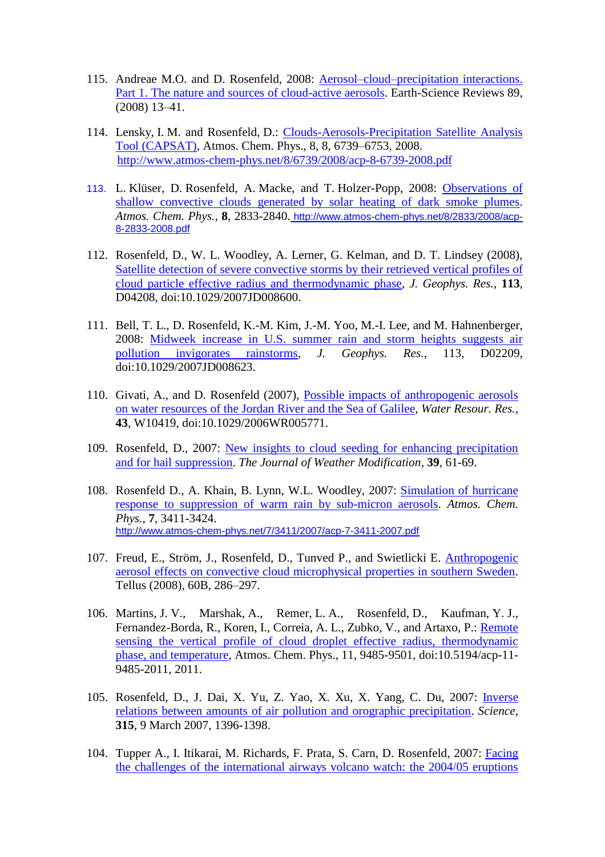- 115. Andreae M.O. and D. Rosenfeld, 2008: [Aerosol–cloud–precipitation interactions.](https://www.researchgate.net/publication/222558540_Aerosol-cloud-precipitation_interactions_Part_1_The_nature_and_sources_of_cloud-active_aerosols_Earth_Sci_Rev)  [Part 1. The nature and sources of cloud-active aerosols.](https://www.researchgate.net/publication/222558540_Aerosol-cloud-precipitation_interactions_Part_1_The_nature_and_sources_of_cloud-active_aerosols_Earth_Sci_Rev) Earth-Science Reviews 89, (2008) 13–41.
- 114. Lensky, I. M. and Rosenfeld, D.: [Clouds-Aerosols-Precipitation Satellite Analysis](Clouds-Aerosols-Precipitation%20Satellite%20Analysis%20Tool%20(CAPSAT))  [Tool \(CAPSAT\),](Clouds-Aerosols-Precipitation%20Satellite%20Analysis%20Tool%20(CAPSAT)) Atmos. Chem. Phys., 8, 8, 6739–6753, 2008. <http://www.atmos-chem-phys.net/8/6739/2008/acp-8-6739-2008.pdf>
- 113. L. Klüser, D. Rosenfeld, A. Macke, and T. Holzer-Popp, 2008: [Observations of](https://www.researchgate.net/publication/224990431_Observations_of_convective_clouds_generated_by_solar_heating_of_dark_smoke_plumes)  [shallow convective clouds generated by solar heating of dark smoke plumes.](https://www.researchgate.net/publication/224990431_Observations_of_convective_clouds_generated_by_solar_heating_of_dark_smoke_plumes) *Atmos. Chem. Phys.,* **8**, 2833-2840. [http://www.atmos-chem-phys.net/8/2833/2008/acp-](http://www.atmos-chem-phys.net/8/2833/2008/acp-8-2833-2008.pdf)[8-2833-2008.pdf](http://www.atmos-chem-phys.net/8/2833/2008/acp-8-2833-2008.pdf)
- 112. Rosenfeld, D., W. L. Woodley, A. Lerner, G. Kelman, and D. T. Lindsey (2008), [Satellite detection of severe convective storms by their retrieved vertical profiles of](https://www.researchgate.net/publication/240488432_Satellite_detection_of_severe_convective_storms_by_their_retrieved_vertical_profiles_of_cloud_particle_effective_radius_and_thermodynamic_phase)  [cloud particle effective radius and thermodynamic phase,](https://www.researchgate.net/publication/240488432_Satellite_detection_of_severe_convective_storms_by_their_retrieved_vertical_profiles_of_cloud_particle_effective_radius_and_thermodynamic_phase) *J. Geophys. Res.*, **113**, D04208, doi:10.1029/2007JD008600.
- 111. Bell, T. L., D. Rosenfeld, K.-M. Kim, J.-M. Yoo, M.-I. Lee, and M. Hahnenberger, 2008: [Midweek increase in U.S. summer rain and storm heights suggests air](https://www.researchgate.net/publication/237240658_Midweek_increase_in_US_summer_rain_and_storm_heights_suggests_air_pollution_invigorates_rainstorms)  [pollution invigorates rainstorms,](https://www.researchgate.net/publication/237240658_Midweek_increase_in_US_summer_rain_and_storm_heights_suggests_air_pollution_invigorates_rainstorms) *J. Geophys. Res.*, 113, D02209, doi:10.1029/2007JD008623.
- 110. Givati, A., and D. Rosenfeld (2007), [Possible impacts of anthropogenic aerosols](https://www.researchgate.net/publication/228672511_Possible_impacts_of_anthropogenic_aerosols_on_water_resources_of_the_Jordan_River_and_the_Sea_of_Galilee)  [on water resources of the Jordan River and the Sea of Galilee,](https://www.researchgate.net/publication/228672511_Possible_impacts_of_anthropogenic_aerosols_on_water_resources_of_the_Jordan_River_and_the_Sea_of_Galilee) *Water Resour. Res.*, **43**, W10419, doi:10.1029/2006WR005771.
- 109. Rosenfeld, D., 2007: [New insights to cloud seeding for enhancing precipitation](New%20insights%20to%20cloud%20seeding%20for%20enhancing%20precipitation%20and%20for%20hail%20suppression)  [and for hail suppression.](New%20insights%20to%20cloud%20seeding%20for%20enhancing%20precipitation%20and%20for%20hail%20suppression) *The Journal of Weather Modification*, **39**, 61-69.
- 108. Rosenfeld D., A. Khain, B. Lynn, W.L. Woodley, 2007: [Simulation of hurricane](https://www.researchgate.net/publication/26638702_Simulation_of_hurricane_response_to_suppression_of_warm_rain_by_sub-micron_aerosols)  [response to suppression of warm rain by sub-micron aerosols.](https://www.researchgate.net/publication/26638702_Simulation_of_hurricane_response_to_suppression_of_warm_rain_by_sub-micron_aerosols) *Atmos. Chem. Phys.*, **7**, 3411-3424. <http://www.atmos-chem-phys.net/7/3411/2007/acp-7-3411-2007.pdf>
- 107. Freud, E., Ström, J., Rosenfeld, D., Tunved P., and Swietlicki E. [Anthropogenic](https://www.researchgate.net/publication/251589709_Anthropogenic_aerosol_effects_on_convective_cloud_microphysical_properties_in_southern_Sweden)  [aerosol effects on convective cloud microphysical properties in southern Sweden.](https://www.researchgate.net/publication/251589709_Anthropogenic_aerosol_effects_on_convective_cloud_microphysical_properties_in_southern_Sweden) Tellus (2008), 60B, 286–297.
- 106. Martins, J. V., Marshak, A., Remer, L. A., Rosenfeld, D., Kaufman, Y. J., Fernandez-Borda, R., Koren, I., Correia, A. L., Zubko, V., and Artaxo, P.: [Remote](https://www.researchgate.net/publication/26638675_Remote_sensing_the_vertical_profile_of_cloud_droplet_effective_radius_thermodynamic_phase_and_temperature)  [sensing the vertical profile of cloud droplet effective radius, thermodynamic](https://www.researchgate.net/publication/26638675_Remote_sensing_the_vertical_profile_of_cloud_droplet_effective_radius_thermodynamic_phase_and_temperature)  [phase, and temperature,](https://www.researchgate.net/publication/26638675_Remote_sensing_the_vertical_profile_of_cloud_droplet_effective_radius_thermodynamic_phase_and_temperature) Atmos. Chem. Phys., 11, 9485-9501, doi:10.5194/acp-11- 9485-2011, 2011.
- 105. Rosenfeld, D., J. Dai, X. Yu, Z. Yao, X. Xu, X. Yang, C. Du, 2007: [Inverse](Inverse%20relations%20between%20amounts%20of%20air%20pollution%20and%20orographic%20precipitation)  [relations between amounts of air pollution and orographic precipitation.](Inverse%20relations%20between%20amounts%20of%20air%20pollution%20and%20orographic%20precipitation) *Science*, **315**, 9 March 2007, 1396-1398.
- 104. Tupper A., I. Itikarai, M. Richards, F. Prata, S. Carn, D. Rosenfeld, 2007: [Facing](https://www.researchgate.net/publication/249612920_Facing_the_Challenges_of_the_International_Airways_Volcano_Watch_The_200405_Eruptions_of_Manam_Papua_New_Guinea)  [the challenges of the international airways volcano watch: the 2004/05 eruptions](https://www.researchgate.net/publication/249612920_Facing_the_Challenges_of_the_International_Airways_Volcano_Watch_The_200405_Eruptions_of_Manam_Papua_New_Guinea)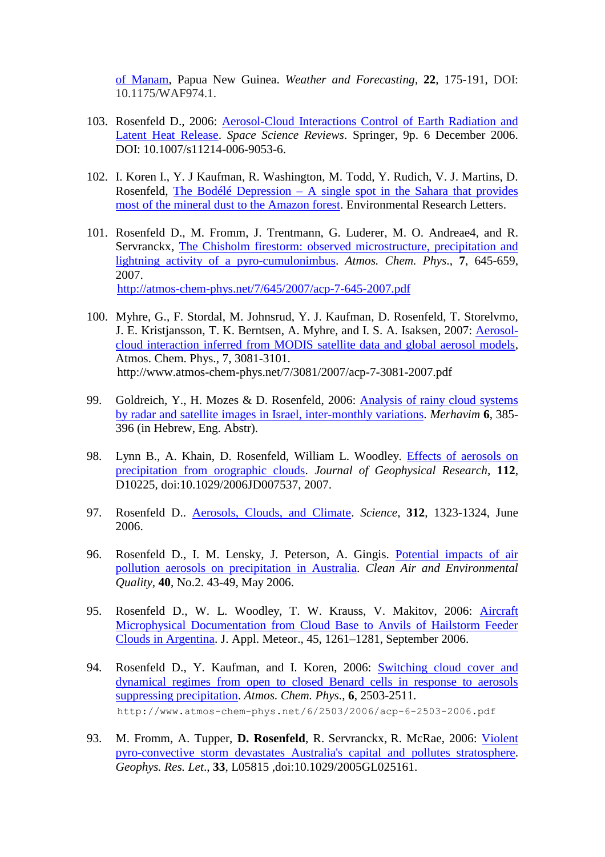[of Manam,](https://www.researchgate.net/publication/249612920_Facing_the_Challenges_of_the_International_Airways_Volcano_Watch_The_200405_Eruptions_of_Manam_Papua_New_Guinea) Papua New Guinea. *Weather and Forecasting*, **22**, 175-191, DOI: 10.1175/WAF974.1.

- 103. Rosenfeld D., 2006: [Aerosol-Cloud Interactions Control of Earth Radiation and](https://www.researchgate.net/publication/226597505_Aerosol-Cloud_Interactions_Control_of_Earth_Radiation_and_Latent_Heat_Release_Budgets)  [Latent Heat Release.](https://www.researchgate.net/publication/226597505_Aerosol-Cloud_Interactions_Control_of_Earth_Radiation_and_Latent_Heat_Release_Budgets) *Space Science Reviews*. Springer, 9p. 6 December 2006. DOI: 10.1007/s11214-006-9053-6.
- 102. I. Koren I., Y. J Kaufman, R. Washington, M. Todd, Y. Rudich, V. J. Martins, D. Rosenfeld, The Bodélé Depression – [A single spot in the Sahara that provides](https://www.researchgate.net/publication/230961494_The_Bodele_depression_A_single_spot_in_the_Sahara_that_provides_most_of_the_mineral_dust_to_the_Amazon_Forest)  [most of the mineral dust to the Amazon forest.](https://www.researchgate.net/publication/230961494_The_Bodele_depression_A_single_spot_in_the_Sahara_that_provides_most_of_the_mineral_dust_to_the_Amazon_Forest) Environmental Research Letters.
- 101. Rosenfeld D., M. Fromm, J. Trentmann, G. Luderer, M. O. Andreae4, and R. Servranckx, [The Chisholm firestorm: observed microstructure, precipitation and](https://www.researchgate.net/publication/26451786_The_Chisholm_firestorm_Observed_microstructure_precipitation_and_lightning_activity_of_a_pyro-cumulonimbus)  lightning activity [of a pyro-cumulonimbus.](https://www.researchgate.net/publication/26451786_The_Chisholm_firestorm_Observed_microstructure_precipitation_and_lightning_activity_of_a_pyro-cumulonimbus) *Atmos. Chem. Phys*., **7**, 645-659, 2007. <http://atmos-chem-phys.net/7/645/2007/acp-7-645-2007.pdf>

- 100. Myhre, G., F. Stordal, M. Johnsrud, Y. J. Kaufman, D. Rosenfeld, T. Storelvmo, J. E. Kristjansson, T. K. Berntsen, A. Myhre, and I. S. A. Isaksen, 2007: [Aerosol](https://www.researchgate.net/publication/26634384_Aerosol-cloud_interaction_inferred_from_MODIS_satellite_data_and_global_aerosol_models)[cloud interaction inferred from MODIS satellite data and global aerosol models,](https://www.researchgate.net/publication/26634384_Aerosol-cloud_interaction_inferred_from_MODIS_satellite_data_and_global_aerosol_models) Atmos. Chem. Phys., 7, 3081-3101. http://www.atmos-chem-phys.net/7/3081/2007/acp-7-3081-2007.pdf
- 99. Goldreich, Y., H. Mozes & D. Rosenfeld, 2006: [Analysis of rainy cloud systems](https://www.researchgate.net/publication/257416600_Analysis_of_rainy_cloud_systems_by_radar_and_satellite_images_in_Israel_inter-monthly_variations)  [by radar and satellite images in Israel, inter-monthly variations.](https://www.researchgate.net/publication/257416600_Analysis_of_rainy_cloud_systems_by_radar_and_satellite_images_in_Israel_inter-monthly_variations) *Merhavim* **6**, 385- 396 (in Hebrew, Eng. Abstr).
- 98. Lynn B., A. Khain, D. Rosenfeld, William L. Woodley. [Effects of aerosols on](https://www.researchgate.net/publication/255654717_Effects_of_precipitation_from_orographic_clouds)  [precipitation from orographic clouds.](https://www.researchgate.net/publication/255654717_Effects_of_precipitation_from_orographic_clouds) *Journal of Geophysical Research*, **112**, D10225, doi:10.1029/2006JD007537, 2007.
- 97. Rosenfeld D.. [Aerosols, Clouds, and Climate.](https://www.researchgate.net/publication/7042072_Aerosols_Clouds_and_Climate) *Science*, **312**, 1323-1324, June 2006.
- 96. Rosenfeld D., I. M. Lensky, J. Peterson, A. Gingis. [Potential impacts of air](https://www.researchgate.net/publication/234005914_Potential_impacts_of_air_pollution_aerosols_on_precipitation_in_Australia)  pollution aerosols on [precipitation in Australia.](https://www.researchgate.net/publication/234005914_Potential_impacts_of_air_pollution_aerosols_on_precipitation_in_Australia) *Clean Air and Environmental Quality*, **40**, No.2. 43-49, May 2006.
- 95. Rosenfeld D., W. L. Woodley, T. W. Krauss, V. Makitov, 2006: [Aircraft](https://www.researchgate.net/publication/237817347_Aircraft_Microphysical_Documentation_from_Cloud_Base_to_Anvils_of_Hailstorm_Feeder_Clouds_in_Argentina)  [Microphysical Documentation from Cloud Base to Anvils of Hailstorm Feeder](https://www.researchgate.net/publication/237817347_Aircraft_Microphysical_Documentation_from_Cloud_Base_to_Anvils_of_Hailstorm_Feeder_Clouds_in_Argentina)  [Clouds in Argentina.](https://www.researchgate.net/publication/237817347_Aircraft_Microphysical_Documentation_from_Cloud_Base_to_Anvils_of_Hailstorm_Feeder_Clouds_in_Argentina) J. Appl. Meteor., 45, 1261–1281, September 2006.
- 94. Rosenfeld D., Y. Kaufman, and I. Koren, 2006: [Switching cloud cover and](https://www.researchgate.net/publication/29629566_Switching_cloud_cover_and_dynamical_regimes_from_open_to_closed_Benard_cells_in_response_to_the_suppression_of_precipitation_by_aerosols_Atmos_Chem_Phys_62503-2511)  [dynamical regimes from open to closed Benard cells in response to aerosols](https://www.researchgate.net/publication/29629566_Switching_cloud_cover_and_dynamical_regimes_from_open_to_closed_Benard_cells_in_response_to_the_suppression_of_precipitation_by_aerosols_Atmos_Chem_Phys_62503-2511)  [suppressing precipitation.](https://www.researchgate.net/publication/29629566_Switching_cloud_cover_and_dynamical_regimes_from_open_to_closed_Benard_cells_in_response_to_the_suppression_of_precipitation_by_aerosols_Atmos_Chem_Phys_62503-2511) *Atmos. Chem. Phys.*, **6**, 2503-2511. http://www.atmos-chem-phys.net/6/2503/2006/acp-6-2503-2006.pdf
- 93. M. Fromm, A. Tupper, **D. Rosenfeld**, R. Servranckx, R. McRae, 2006: [Violent](https://www.researchgate.net/publication/228850146_Violent_pyro-convective_storm_devastates_Australia%27s_capital_and_pollutes_the_stratosphere)  [pyro-convective storm devastates Australia's capital and](https://www.researchgate.net/publication/228850146_Violent_pyro-convective_storm_devastates_Australia%27s_capital_and_pollutes_the_stratosphere) pollutes stratosphere. *Geophys. Res. Let*., **33**, L05815 ,doi:10.1029/2005GL025161.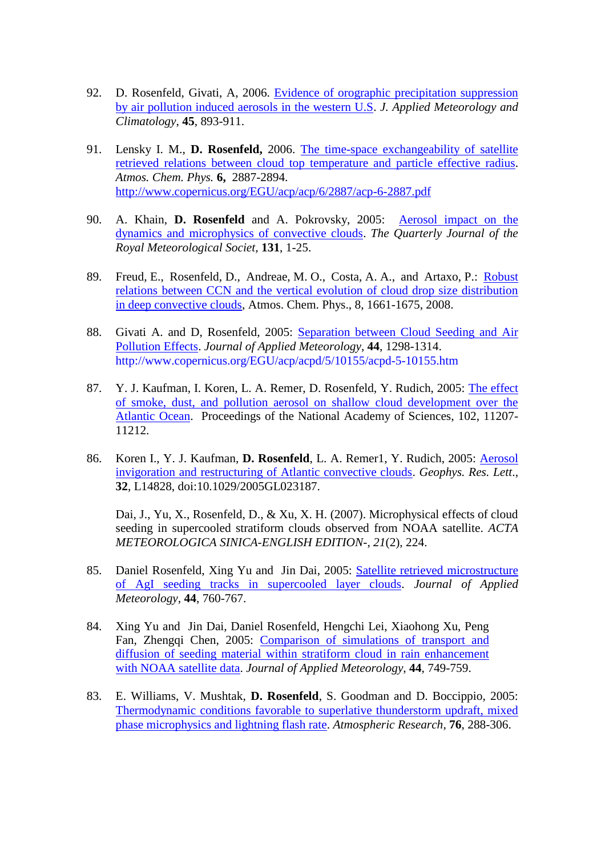- 92. D. Rosenfeld, Givati, A, 2006. [Evidence of orographic precipitation suppression](https://www.researchgate.net/publication/255579177_Evidence_of_Orographic_Precipitation_Suppression_by_Air_Pollution_Induced_Aerosols_in_the_Western_United_States)  [by air pollution induced aerosols in the western U.S.](https://www.researchgate.net/publication/255579177_Evidence_of_Orographic_Precipitation_Suppression_by_Air_Pollution_Induced_Aerosols_in_the_Western_United_States) *J. Applied Meteorology and Climatology*, **45**, 893-911.
- 91. Lensky I. M., **D. Rosenfeld,** 2006. [The time-space exchangeability of satellite](https://www.researchgate.net/publication/236586276_The_time-space_exchangeability_of_satellite_retrieved_relations_between_cloud_top_temperature_and_particle_effective_radius)  retrieved [relations between cloud top temperature and particle](https://www.researchgate.net/publication/236586276_The_time-space_exchangeability_of_satellite_retrieved_relations_between_cloud_top_temperature_and_particle_effective_radius) effective radius. *Atmos. Chem. Phys.* **6,** 2887-2894. <http://www.copernicus.org/EGU/acp/acp/6/2887/acp-6-2887.pdf>
- 90. A. Khain, **D. Rosenfeld** and A. Pokrovsky, 2005: [Aerosol impact on the](https://www.researchgate.net/publication/227659990_Aerosol_impact_on_the_dynamics_and_microphysics_of_convective_clouds)  [dynamics and microphysics of convective clouds.](https://www.researchgate.net/publication/227659990_Aerosol_impact_on_the_dynamics_and_microphysics_of_convective_clouds) *The Quarterly Journal of the Royal Meteorological Societ,* **131**, 1-25.
- 89. Freud, E., Rosenfeld, D., Andreae, M. O., Costa, A. A., and Artaxo, P.: [Robust](https://www.researchgate.net/publication/26634686_Robust_relations_between_CCN_and_the_vertical_evolution_of_cloud_drop_size_distribution_in_deep_convective_clouds)  [relations between CCN and the vertical evolution of cloud drop size distribution](https://www.researchgate.net/publication/26634686_Robust_relations_between_CCN_and_the_vertical_evolution_of_cloud_drop_size_distribution_in_deep_convective_clouds)  [in deep convective clouds,](https://www.researchgate.net/publication/26634686_Robust_relations_between_CCN_and_the_vertical_evolution_of_cloud_drop_size_distribution_in_deep_convective_clouds) Atmos. Chem. Phys., 8, 1661-1675, 2008.
- 88. Givati A. and D, Rosenfeld, 2005: [Separation between Cloud Seeding and Air](https://www.researchgate.net/publication/241566087_Separation_between_Cloud-Seeding_and_Air-Pollution_Effects)  [Pollution Effects.](https://www.researchgate.net/publication/241566087_Separation_between_Cloud-Seeding_and_Air-Pollution_Effects) *Journal of Applied Meteorology*, **44**, 1298-1314. http://www.copernicus.org/EGU/acp/acpd/5/10155/acpd-5-10155.htm
- 87. Y. J. Kaufman, I. Koren, L. A. Remer, D. Rosenfeld, Y. Rudich, 2005: [The effect](https://www.researchgate.net/publication/7682621_The_effect_of_smoke_dust_and_pollution_aerosol_on_shallow_cloud_development_over_the_Atlantic_Ocean_Proc_Natl_Acad_Sci_USA)  [of smoke, dust, and pollution aerosol on shallow cloud development over the](https://www.researchgate.net/publication/7682621_The_effect_of_smoke_dust_and_pollution_aerosol_on_shallow_cloud_development_over_the_Atlantic_Ocean_Proc_Natl_Acad_Sci_USA)  [Atlantic Ocean.](https://www.researchgate.net/publication/7682621_The_effect_of_smoke_dust_and_pollution_aerosol_on_shallow_cloud_development_over_the_Atlantic_Ocean_Proc_Natl_Acad_Sci_USA) Proceedings of the National Academy of Sciences, 102, 11207- 11212.
- 86. Koren I., Y. J. Kaufman, **D. Rosenfeld**, L. A. Remer1, Y. Rudich, 2005: [Aerosol](https://www.researchgate.net/publication/235330125_Aerosol_invigoration_and_restructuring_of_Atlantic_convective_clouds_Geophys)  [invigoration and restructuring of Atlantic convective clouds.](https://www.researchgate.net/publication/235330125_Aerosol_invigoration_and_restructuring_of_Atlantic_convective_clouds_Geophys) *Geophys. Res. Lett*., **32**, L14828, doi:10.1029/2005GL023187.

Dai, J., Yu, X., Rosenfeld, D., & Xu, X. H. (2007). Microphysical effects of cloud seeding in supercooled stratiform clouds observed from NOAA satellite. *ACTA METEOROLOGICA SINICA-ENGLISH EDITION-*, *21*(2), 224.

- 85. Daniel Rosenfeld, Xing Yu and Jin Dai, 2005: [Satellite retrieved microstructure](https://www.researchgate.net/publication/238493343_Satellite-Retrieved_Microstructure_of_AgI_Seeding_Tracks_in_Supercooled_Layer_Clouds)  [of AgI seeding tracks in supercooled layer clouds.](https://www.researchgate.net/publication/238493343_Satellite-Retrieved_Microstructure_of_AgI_Seeding_Tracks_in_Supercooled_Layer_Clouds) *Journal of Applied Meteorology*, **44**, 760-767.
- 84. Xing Yu and Jin Dai, Daniel Rosenfeld, Hengchi Lei, Xiaohong Xu, Peng Fan, Zhengqi Chen, 2005: [Comparison of simulations of transport and](https://www.researchgate.net/publication/226942761_Comparison_between_computer_simulation_of_transport_and_diffusion_of_cloud_seeding_material_within_stratiform_cloud_and_the_NOAA-14_satellite_cloud_track)  [diffusion of seeding material within stratiform cloud in rain enhancement](https://www.researchgate.net/publication/226942761_Comparison_between_computer_simulation_of_transport_and_diffusion_of_cloud_seeding_material_within_stratiform_cloud_and_the_NOAA-14_satellite_cloud_track)  [with NOAA satellite data.](https://www.researchgate.net/publication/226942761_Comparison_between_computer_simulation_of_transport_and_diffusion_of_cloud_seeding_material_within_stratiform_cloud_and_the_NOAA-14_satellite_cloud_track) *Journal of Applied Meteorology*, **44**, 749-759.
- 83. E. Williams, V. Mushtak, **D. Rosenfeld**, S. Goodman and D. Boccippio, 2005: [Thermodynamic conditions favorable to superlative thunderstorm updraft, mixed](https://www.researchgate.net/publication/222513973_Thermodynamic_conditions_favorable_to_superlative_thunderstorm_updraft_mixed_phase_microphysics_and_lightning_flash_rate)  [phase microphysics and lightning flash rate.](https://www.researchgate.net/publication/222513973_Thermodynamic_conditions_favorable_to_superlative_thunderstorm_updraft_mixed_phase_microphysics_and_lightning_flash_rate) *Atmospheric Research*, **76**, 288-306.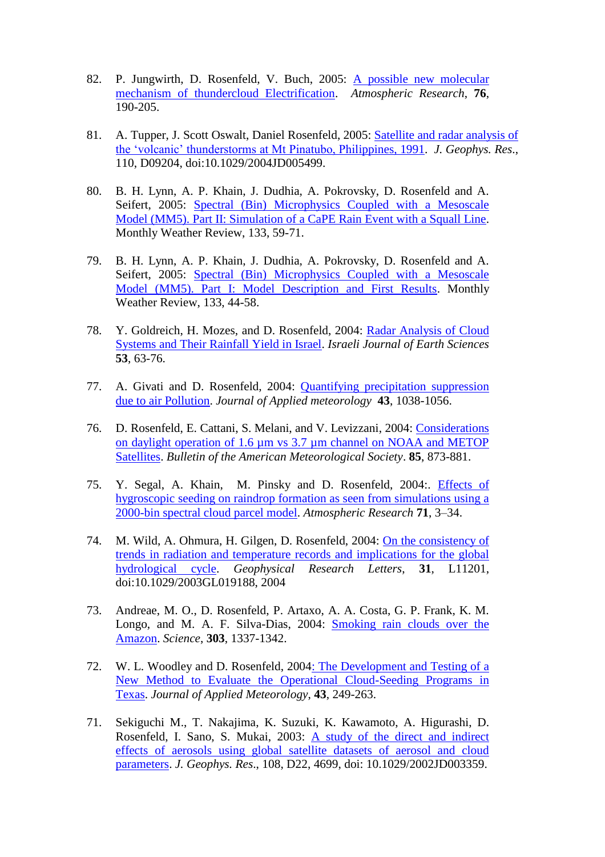- 82. P. Jungwirth, D. Rosenfeld, V. Buch, 2005: [A possible new molecular](https://www.researchgate.net/publication/228566609_A_possible_new_molecular_mechanism_of_thundercloud_electrification)  [mechanism of thundercloud Electrification.](https://www.researchgate.net/publication/228566609_A_possible_new_molecular_mechanism_of_thundercloud_electrification) *Atmospheric Research*, **76**, 190-205.
- 81. A. Tupper, J. Scott Oswalt, Daniel Rosenfeld, 2005: [Satellite and radar analysis of](https://www.researchgate.net/publication/228663256_Satellite_and_radar_analysis_of_the_volcanic-cumulonimbi_at_Mount_Pinatubo_Philippines_1991)  [the 'volcanic' thunderstorms at Mt Pinatubo, Philippines, 1991.](https://www.researchgate.net/publication/228663256_Satellite_and_radar_analysis_of_the_volcanic-cumulonimbi_at_Mount_Pinatubo_Philippines_1991) *J. Geophys. Res*., 110, D09204, doi:10.1029/2004JD005499.
- 80. B. H. Lynn, A. P. Khain, J. Dudhia, A. Pokrovsky, D. Rosenfeld and A. Seifert, 2005: [Spectral \(Bin\) Microphysics Coupled with a Mesoscale](https://www.researchgate.net/publication/242286433_Spectral_Bin_Microphysics_Coupled_with_a_Mesoscale_Model_MM5_Part_II_Simulation_of_a_CaPE_Rain_Event_with_a_Squall_Line)  [Model \(MM5\). Part II: Simulation of a CaPE Rain Event with a Squall Line.](https://www.researchgate.net/publication/242286433_Spectral_Bin_Microphysics_Coupled_with_a_Mesoscale_Model_MM5_Part_II_Simulation_of_a_CaPE_Rain_Event_with_a_Squall_Line) Monthly Weather Review, 133, 59-71.
- 79. B. H. Lynn, A. P. Khain, J. Dudhia, A. Pokrovsky, D. Rosenfeld and A. Seifert, 2005: [Spectral \(Bin\) Microphysics Coupled with a Mesoscale](https://www.researchgate.net/publication/242259734_Spectral_Bin_Microphysics_Coupled_with_a_Mesoscale_Model_MM5_Part_I_Model_Description_and_First_Results)  [Model \(MM5\). Part I: Model Description and First Results.](https://www.researchgate.net/publication/242259734_Spectral_Bin_Microphysics_Coupled_with_a_Mesoscale_Model_MM5_Part_I_Model_Description_and_First_Results) Monthly Weather Review, 133, 44-58.
- 78. Y. Goldreich, H. Mozes, and D. Rosenfeld, 2004: [Radar Analysis of Cloud](https://www.researchgate.net/publication/241509157_Radar_analysis_of_cloud_systems_and_their_rainfall_yield_in_Israel)  [Systems and Their Rainfall Yield in Israel.](https://www.researchgate.net/publication/241509157_Radar_analysis_of_cloud_systems_and_their_rainfall_yield_in_Israel) *Israeli Journal of Earth Sciences* **53**, 63-76.
- 77. A. Givati and D. Rosenfeld, 2004: [Quantifying precipitation suppression](https://www.researchgate.net/publication/240201864_Quantifying_Precipitation_Suppression_Due_to_Air_Pollution)  [due to air Pollution.](https://www.researchgate.net/publication/240201864_Quantifying_Precipitation_Suppression_Due_to_Air_Pollution) *Journal of Applied meteorology* **43**, 1038-1056.
- 76. D. Rosenfeld, E. Cattani, S. Melani, and V. Levizzani, 2004: Considerations [on daylight operation of 1.6 µm vs 3.7 µm channel on NOAA and METOP](https://www.researchgate.net/publication/239545789_Considerations_on_Daylight_Operation_of_16_versus_37-m_Channel_on_NOAA_and_Metop_Satellites)  [Satellites.](https://www.researchgate.net/publication/239545789_Considerations_on_Daylight_Operation_of_16_versus_37-m_Channel_on_NOAA_and_Metop_Satellites) *Bulletin of the American Meteorological Society*. **85**, 873-881.
- 75. Y. Segal, A. Khain, M. Pinsky and D. Rosenfeld, 2004:. [Effects of](https://www.researchgate.net/publication/222552087_Effects_of_hygroscopic_seeding_on_raindrop_formation_as_seen_from_simulations_using_a_2000-bin_spectral_cloud_parcel_model)  [hygroscopic seeding on raindrop formation as seen from simulations using a](https://www.researchgate.net/publication/222552087_Effects_of_hygroscopic_seeding_on_raindrop_formation_as_seen_from_simulations_using_a_2000-bin_spectral_cloud_parcel_model)  [2000-bin spectral cloud parcel model.](https://www.researchgate.net/publication/222552087_Effects_of_hygroscopic_seeding_on_raindrop_formation_as_seen_from_simulations_using_a_2000-bin_spectral_cloud_parcel_model) *Atmospheric Research* **71**, 3–34.
- 74. M. Wild, A. Ohmura, H. Gilgen, D. Rosenfeld, 2004: [On the consistency of](https://www.researchgate.net/publication/231222343_On_the_consistency_of_trends_in_radiation_and_temperature_records_and_implications_for_the_global_hydrological_cycle_Geophys_Res_Lett_3111L11201)  [trends in radiation and temperature records and implications for the global](https://www.researchgate.net/publication/231222343_On_the_consistency_of_trends_in_radiation_and_temperature_records_and_implications_for_the_global_hydrological_cycle_Geophys_Res_Lett_3111L11201)  [hydrological cycle.](https://www.researchgate.net/publication/231222343_On_the_consistency_of_trends_in_radiation_and_temperature_records_and_implications_for_the_global_hydrological_cycle_Geophys_Res_Lett_3111L11201) *Geophysical Research Letters*, **31**, L11201, doi:10.1029/2003GL019188, 2004
- 73. Andreae, M. O., D. Rosenfeld, P. Artaxo, A. A. Costa, G. P. Frank, K. M. Longo, and M. A. F. Silva-Dias, 2004: [Smoking rain clouds over the](https://www.researchgate.net/publication/37679226_Smoking_Rain_Clouds_over_the_Amazon)  [Amazon.](https://www.researchgate.net/publication/37679226_Smoking_Rain_Clouds_over_the_Amazon) *Science*, **303**, 1337-1342.
- 72. W. L. Woodley and D. Rosenfeld, 200[4: The Development and Testing of a](https://www.researchgate.net/publication/241710118_The_Development_and_Testing_of_a_New_Method_to_Evaluate_the_Operational_Cloud-Seeding_Programs_in_Texas)  [New Method to Evaluate the Operational Cloud-Seeding Programs in](https://www.researchgate.net/publication/241710118_The_Development_and_Testing_of_a_New_Method_to_Evaluate_the_Operational_Cloud-Seeding_Programs_in_Texas)  [Texas.](https://www.researchgate.net/publication/241710118_The_Development_and_Testing_of_a_New_Method_to_Evaluate_the_Operational_Cloud-Seeding_Programs_in_Texas) *Journal of Applied Meteorology*, **43**, 249-263.
- 71. Sekiguchi M., T. Nakajima, K. Suzuki, K. Kawamoto, A. Higurashi, D. Rosenfeld, I. Sano, S. Mukai, 2003: [A study of the direct and indirect](https://www.researchgate.net/publication/45589610_Sekiguchi_M_et_al_A_study_of_the_direct_and_indirect_effects_of_aerosols_using_global_satellite_data_sets_of_aerosol_and_cloud_parameters_J_Geophys_Res_108_doi1010292002JD003359)  [effects of aerosols using global satellite datasets of aerosol and cloud](https://www.researchgate.net/publication/45589610_Sekiguchi_M_et_al_A_study_of_the_direct_and_indirect_effects_of_aerosols_using_global_satellite_data_sets_of_aerosol_and_cloud_parameters_J_Geophys_Res_108_doi1010292002JD003359)  [parameters.](https://www.researchgate.net/publication/45589610_Sekiguchi_M_et_al_A_study_of_the_direct_and_indirect_effects_of_aerosols_using_global_satellite_data_sets_of_aerosol_and_cloud_parameters_J_Geophys_Res_108_doi1010292002JD003359) *J. Geophys. Res*., 108, D22, 4699, doi: 10.1029/2002JD003359.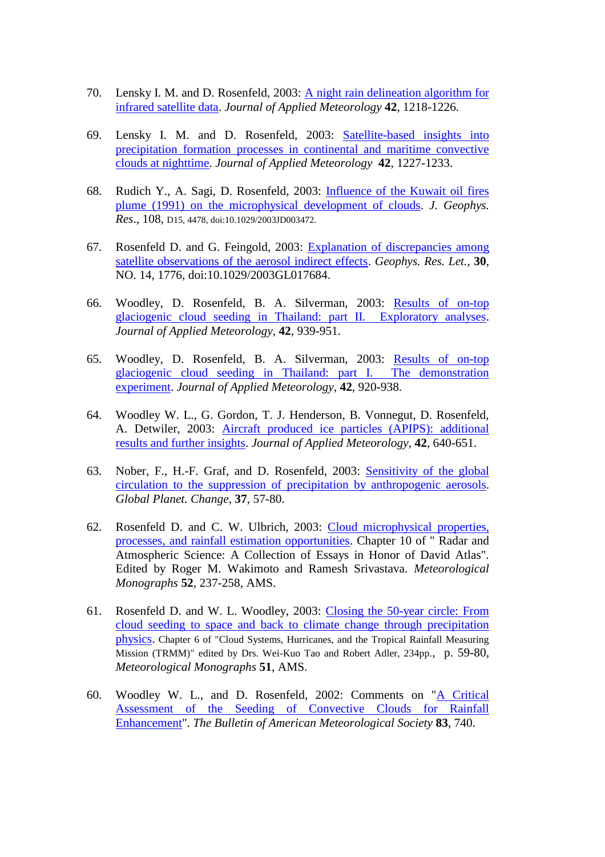- 70. Lensky I. M. and D. Rosenfeld, 2003: A [night rain delineation algorithm for](https://www.researchgate.net/publication/236586358_A_Night-Rain_Delineation_Algorithm_for_Infrared_Satellite_Data_Based_on_Microphysical_Considerations)  [infrared satellite data.](https://www.researchgate.net/publication/236586358_A_Night-Rain_Delineation_Algorithm_for_Infrared_Satellite_Data_Based_on_Microphysical_Considerations) *Journal of Applied Meteorology* **42**, 1218-1226.
- 69. Lensky I. M. and D. Rosenfeld, 2003: [Satellite-based insights into](https://www.researchgate.net/publication/236586390_Satellite-Based_Insights_into_Precipitation_Formation_Processes_in_Continental_and_Maritime_Convective_Clouds_at_Nighttime)  [precipitation formation processes in continental and maritime convective](https://www.researchgate.net/publication/236586390_Satellite-Based_Insights_into_Precipitation_Formation_Processes_in_Continental_and_Maritime_Convective_Clouds_at_Nighttime)  [clouds at nighttime.](https://www.researchgate.net/publication/236586390_Satellite-Based_Insights_into_Precipitation_Formation_Processes_in_Continental_and_Maritime_Convective_Clouds_at_Nighttime) *Journal of Applied Meteorology* **42**, 1227-1233.
- 68. Rudich Y., A. Sagi, D. Rosenfeld, 2003: [Influence of the Kuwait oil fires](https://www.researchgate.net/publication/228529840_Influence_of_the_Kuwait_oil_fires_plume_1991_on_the_microphysical_development_of_clouds)  [plume \(1991\) on the microphysical development of clouds.](https://www.researchgate.net/publication/228529840_Influence_of_the_Kuwait_oil_fires_plume_1991_on_the_microphysical_development_of_clouds) *J. Geophys. Res*., 108, D15, 4478, doi:10.1029/2003JD003472.
- 67. Rosenfeld D. and G. Feingold, 2003: [Explanation of discrepancies among](https://www.researchgate.net/publication/238493327_Explanation_of_discrepancies_among_satellite_observations_of_the_aerosol_indirect_effects)  [satellite observations of the aerosol indirect effects.](https://www.researchgate.net/publication/238493327_Explanation_of_discrepancies_among_satellite_observations_of_the_aerosol_indirect_effects) *Geophys. Res. Let.,* **30**, NO. 14, 1776, doi:10.1029/2003GL017684.
- 66. Woodley, D. Rosenfeld, B. A. Silverman, 2003: [Results of on-top](https://www.researchgate.net/publication/253747650_Results_of_On-Top_Glaciogenic_Cloud_Seeding_in_Thailand_Part_II_Exploratory_Analyses)  [glaciogenic cloud seeding in Thailand: part II. Exploratory analyses.](https://www.researchgate.net/publication/253747650_Results_of_On-Top_Glaciogenic_Cloud_Seeding_in_Thailand_Part_II_Exploratory_Analyses) *Journal of Applied Meteorology*, **42**, 939-951.
- 65. Woodley, D. Rosenfeld, B. A. Silverman, 2003: [Results of on-top](https://www.researchgate.net/publication/240686132_Results_of_On-Top_Glaciogenic_Cloud_Seeding_in_Thailand_Part_I_The_Demonstration_Experiment)  [glaciogenic cloud seeding in Thailand: part I. The demonstration](https://www.researchgate.net/publication/240686132_Results_of_On-Top_Glaciogenic_Cloud_Seeding_in_Thailand_Part_I_The_Demonstration_Experiment)  [experiment.](https://www.researchgate.net/publication/240686132_Results_of_On-Top_Glaciogenic_Cloud_Seeding_in_Thailand_Part_I_The_Demonstration_Experiment) *Journal of Applied Meteorology*, **42**, 920-938.
- 64. Woodley W. L., G. Gordon, T. J. Henderson, B. Vonnegut, D. Rosenfeld, A. Detwiler, 2003: [Aircraft produced ice particles \(APIPS\): additional](https://www.researchgate.net/publication/260870897_Aircraft-Produced_Ice_Particles_APIPs_Additional_Results_and_Further_Insights)  [results and further insights.](https://www.researchgate.net/publication/260870897_Aircraft-Produced_Ice_Particles_APIPs_Additional_Results_and_Further_Insights) *Journal of Applied Meteorology*, **42**, 640-651.
- 63. Nober, F., H.-F. Graf, and D. Rosenfeld, 2003: [Sensitivity of the global](https://www.researchgate.net/publication/222400786_Sensitivity_of_the_global_circulation_to_the_suppression_of_precipitation_by_anthropogenic_aerosols)  [circulation to the suppression of precipitation by anthropogenic aerosols.](https://www.researchgate.net/publication/222400786_Sensitivity_of_the_global_circulation_to_the_suppression_of_precipitation_by_anthropogenic_aerosols) *Global Planet. Change*, **37**, 57-80.
- 62. Rosenfeld D. and C. W. Ulbrich, 2003: [Cloud microphysical properties,](https://www.researchgate.net/publication/253394625_Cloud_Microphysical_Properties_Processes_and_Rainfall_Estimation_Opportunities)  [processes, and rainfall estimation opportunities.](https://www.researchgate.net/publication/253394625_Cloud_Microphysical_Properties_Processes_and_Rainfall_Estimation_Opportunities) Chapter 10 of " Radar and Atmospheric Science: A Collection of Essays in Honor of David Atlas". Edited by Roger M. Wakimoto and Ramesh Srivastava*. Meteorological Monographs* **52**, 237-258, AMS.
- 61. Rosenfeld D. and W. L. Woodley, 2003: [Closing the 50-year circle: From](https://www.researchgate.net/publication/305489156_Closing_the_50-year_circle_From_cloud_seeding_to_space_and_back_to_climate_change_through_precipitation_physics)  cloud seeding [to space and back to climate change through precipitation](https://www.researchgate.net/publication/305489156_Closing_the_50-year_circle_From_cloud_seeding_to_space_and_back_to_climate_change_through_precipitation_physics)  [physics.](https://www.researchgate.net/publication/305489156_Closing_the_50-year_circle_From_cloud_seeding_to_space_and_back_to_climate_change_through_precipitation_physics) Chapter 6 of "Cloud Systems, Hurricanes, and the Tropical Rainfall Measuring Mission (TRMM)" edited by Drs. Wei-Kuo Tao and Robert Adler, 234pp., p. 59-80, *Meteorological Monographs* **51**, AMS.
- 60. Woodley W. L., and D. Rosenfeld, 2002: Comments on ["A Critical](https://www.researchgate.net/publication/257416720_Comments_on_A_Critical_Assessment_of_the_Seeding_of_Convective_Clouds_for_Rainfall_Enhancement)  [Assessment of the Seeding of Convective Clouds for Rainfall](https://www.researchgate.net/publication/257416720_Comments_on_A_Critical_Assessment_of_the_Seeding_of_Convective_Clouds_for_Rainfall_Enhancement)  [Enhancement"](https://www.researchgate.net/publication/257416720_Comments_on_A_Critical_Assessment_of_the_Seeding_of_Convective_Clouds_for_Rainfall_Enhancement). *The Bulletin of American Meteorological Society* **83**, 740.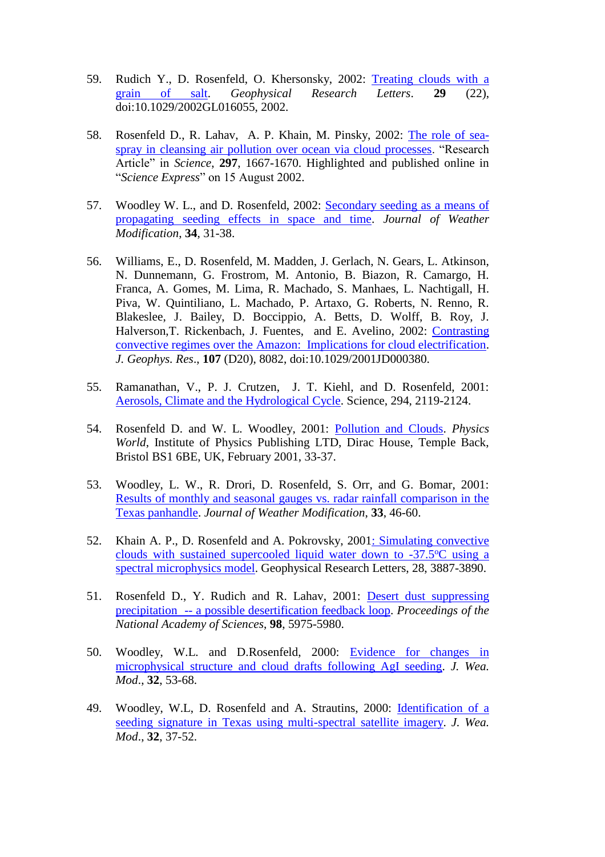- 59. Rudich Y., D. Rosenfeld, O. Khersonsky, 2002: [Treating clouds with a](https://www.researchgate.net/publication/251427261_Treating_clouds_with_a_grain_of_salt)  [grain of salt.](https://www.researchgate.net/publication/251427261_Treating_clouds_with_a_grain_of_salt) *Geophysical Research Letters*. **29** (22), doi:10.1029/2002GL016055, 2002.
- 58. Rosenfeld D., R. Lahav, A. P. Khain, M. Pinsky, 2002: [The role of sea](https://www.researchgate.net/publication/11203103_The_Role_of_Sea_Spray_in_Cleansing_Air_Pollution_over_Ocean_via_Cloud_Processes)[spray in cleansing air pollution over ocean via cloud processes.](https://www.researchgate.net/publication/11203103_The_Role_of_Sea_Spray_in_Cleansing_Air_Pollution_over_Ocean_via_Cloud_Processes) "Research Article" in *Science*, **297**, 1667-1670. Highlighted and published online in "*Science Express*" on 15 August 2002.
- 57. Woodley W. L., and D. Rosenfeld, 2002: [Secondary seeding as a means of](https://www.researchgate.net/publication/257416407_Secondary_seeding_as_a_means_of_propagating_seeding_effects_in_space_and_time)  [propagating seeding effects in space and time.](https://www.researchgate.net/publication/257416407_Secondary_seeding_as_a_means_of_propagating_seeding_effects_in_space_and_time) *Journal of Weather Modification*, **34**, 31-38.
- 56. Williams, E., D. Rosenfeld, M. Madden, J. Gerlach, N. Gears, L. Atkinson, N. Dunnemann, G. Frostrom, M. Antonio, B. Biazon, R. Camargo, H. Franca, A. Gomes, M. Lima, R. Machado, S. Manhaes, L. Nachtigall, H. Piva, W. Quintiliano, L. Machado, P. Artaxo, G. Roberts, N. Renno, R. Blakeslee, J. Bailey, D. Boccippio, A. Betts, D. Wolff, B. Roy, J. Halverson,T. Rickenbach, J. Fuentes, and E. Avelino, 2002: [Contrasting](https://www.researchgate.net/publication/236611090_Contrasting_convective_regimes_over_the_Amazon_Implications_for_cloud_electrification)  [convective regimes over the Amazon: Implications for cloud electrification.](https://www.researchgate.net/publication/236611090_Contrasting_convective_regimes_over_the_Amazon_Implications_for_cloud_electrification) *J. Geophys. Res*., **107** (D20), 8082, doi:10.1029/2001JD000380.
- 55. Ramanathan, V., P. J. Crutzen, J. T. Kiehl, and D. Rosenfeld, 2001: [Aerosols, Climate and the Hydrological Cycle.](https://www.researchgate.net/publication/11616604_Aerosols_Climate_and_the_Hydrological_Cycle) Science, 294, 2119-2124.
- 54. Rosenfeld D. and W. L. Woodley, 2001: [Pollution and Clouds.](https://www.researchgate.net/publication/257416637_Pollution_and_Clouds) *Physics World*, Institute of Physics Publishing LTD, Dirac House, Temple Back, Bristol BS1 6BE, UK, February 2001, 33-37.
- 53. Woodley, L. W., R. Drori, D. Rosenfeld, S. Orr, and G. Bomar, 2001: [Results of monthly and seasonal gauges vs. radar rainfall comparison in the](https://www.researchgate.net/publication/257416397_Results_of_monthly_and_seasonal_gauges_vs_radar_rainfall_comparison_in_the_Texas_panhandle?ev=srch_pub&_sg=xhWVlnYBaQ3jAloVmE8sdInE6g72Fncoek1mEWtlbQBfywGy9OT4IJwY6gSkb4qz.6XaodGYvny1-948I0dIM9f4O-Rs2NLrgR)  [Texas panhandle.](https://www.researchgate.net/publication/257416397_Results_of_monthly_and_seasonal_gauges_vs_radar_rainfall_comparison_in_the_Texas_panhandle?ev=srch_pub&_sg=xhWVlnYBaQ3jAloVmE8sdInE6g72Fncoek1mEWtlbQBfywGy9OT4IJwY6gSkb4qz.6XaodGYvny1-948I0dIM9f4O-Rs2NLrgR) *Journal of Weather Modification*, **33**, 46-60.
- 52. Khain A. P., D. Rosenfeld and A. Pokrovsky, 2001: Simulating convective clouds with sustained supercooled liquid water down to  $-37.5$ °C using a [spectral microphysics model.](https://www.researchgate.net/publication/248813830_Khain_A_P_Rosenfeld_D_Pokrovsky_A_Simulating_convective_clouds_with_sustained_supercooled_liquid_water_down_to_-375_C_using_a_spectral_microphysics_model_Geophys_Res_Lett_28_3887-3890) Geophysical Research Letters, 28, 3887-3890.
- 51. Rosenfeld D., Y. Rudich and R. Lahav, 2001: [Desert dust suppressing](https://www.researchgate.net/publication/11983739_Desert_dust_suppressing_precipitation_A_possible_desertification_feedback_loop)  precipitation -- [a possible desertification feedback loop.](https://www.researchgate.net/publication/11983739_Desert_dust_suppressing_precipitation_A_possible_desertification_feedback_loop) *Proceedings of the National Academy of Sciences*, **98**, 5975-5980.
- 50. Woodley, W.L. and D.Rosenfeld, 2000: [Evidence for changes in](https://www.researchgate.net/publication/257416389_Evidence_for_changes_in_microphysical_structure_and_cloud_drafts_following_AgI_seeding)  [microphysical structure and cloud drafts following AgI seeding.](https://www.researchgate.net/publication/257416389_Evidence_for_changes_in_microphysical_structure_and_cloud_drafts_following_AgI_seeding) *J. Wea. Mod*., **32**, 53-68.
- 49. Woodley, W.L, D. Rosenfeld and A. Strautins, 2000: Identification of a [seeding signature in Texas using multi-spectral satellite imagery.](https://www.researchgate.net/publication/257416457_Identification_of_a_seeding_signature_in_Texas_using_multi-spectral_satellite_imagery) *J. Wea. Mod*., **32**, 37-52.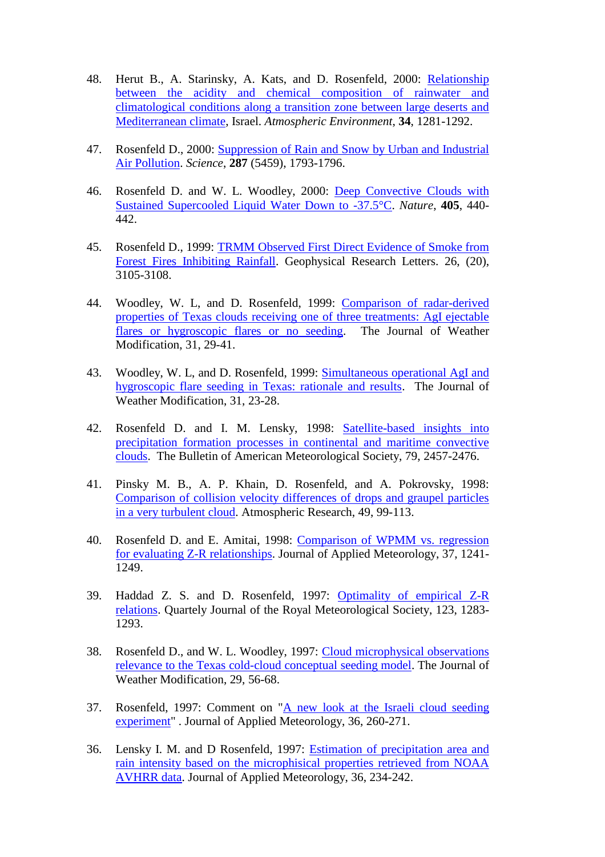- 48. Herut B., A. Starinsky, A. Kats, and D. Rosenfeld, 2000: [Relationship](https://www.researchgate.net/publication/222513653_Relationship_between_the_acidity_and_chemical_composition_of_rainwater_and_climatological_conditions_along_a_transition_zone_between_large_deserts_and_Mediterranean_climate_Israel)  [between the acidity and chemical composition of rainwater and](https://www.researchgate.net/publication/222513653_Relationship_between_the_acidity_and_chemical_composition_of_rainwater_and_climatological_conditions_along_a_transition_zone_between_large_deserts_and_Mediterranean_climate_Israel)  [climatological conditions along a transition zone between large deserts and](https://www.researchgate.net/publication/222513653_Relationship_between_the_acidity_and_chemical_composition_of_rainwater_and_climatological_conditions_along_a_transition_zone_between_large_deserts_and_Mediterranean_climate_Israel)  [Mediterranean climate,](https://www.researchgate.net/publication/222513653_Relationship_between_the_acidity_and_chemical_composition_of_rainwater_and_climatological_conditions_along_a_transition_zone_between_large_deserts_and_Mediterranean_climate_Israel) Israel. *Atmospheric Environment*, **34**, 1281-1292.
- 47. Rosenfeld D., 2000: [Suppression of Rain and Snow by Urban and Industrial](https://www.researchgate.net/publication/12606075_Suppression_of_Rain_and_Snow_by_Urban_and_Industrial_Air_Pollution)  [Air Pollution.](https://www.researchgate.net/publication/12606075_Suppression_of_Rain_and_Snow_by_Urban_and_Industrial_Air_Pollution) *Science*, **287** (5459), 1793-1796.
- 46. Rosenfeld D. and W. L. Woodley, 2000: [Deep Convective Clouds with](https://www.researchgate.net/publication/12477834_Deep_convective_clouds_with_sustained_supercooled_liquid_water_down_to_-_375_C)  [Sustained Supercooled Liquid Water Down to -37.5°C.](https://www.researchgate.net/publication/12477834_Deep_convective_clouds_with_sustained_supercooled_liquid_water_down_to_-_375_C) *Nature*, **405**, 440- 442.
- 45. Rosenfeld D., 1999: [TRMM Observed First Direct Evidence of Smoke from](https://www.researchgate.net/publication/239062916_TRMM_Observed_First_Direct_Evidence_of_Smoke_from_Forest_Fires_Inhibiting_Rainfall)  [Forest Fires Inhibiting Rainfall.](https://www.researchgate.net/publication/239062916_TRMM_Observed_First_Direct_Evidence_of_Smoke_from_Forest_Fires_Inhibiting_Rainfall) Geophysical Research Letters. 26, (20), 3105-3108.
- 44. Woodley, W. L, and D. Rosenfeld, 1999: [Comparison of radar-derived](https://www.researchgate.net/publication/257416212_Comparison_of_Radar-Derived_Properties_of_Texas_Clouds_Receiving_One_of_Three_Treatments_AgI_Ejectable_Flares_or_Hygroscopic_Flares_or_No_Seeding)  [properties of Texas clouds receiving one of three treatments: AgI ejectable](https://www.researchgate.net/publication/257416212_Comparison_of_Radar-Derived_Properties_of_Texas_Clouds_Receiving_One_of_Three_Treatments_AgI_Ejectable_Flares_or_Hygroscopic_Flares_or_No_Seeding)  [flares or hygroscopic flares or no seeding.](https://www.researchgate.net/publication/257416212_Comparison_of_Radar-Derived_Properties_of_Texas_Clouds_Receiving_One_of_Three_Treatments_AgI_Ejectable_Flares_or_Hygroscopic_Flares_or_No_Seeding) The Journal of Weather Modification, 31, 29-41.
- 43. Woodley, W. L, and D. Rosenfeld, 1999: Simultaneous operational AgI and [hygroscopic flare seeding in Texas: rationale and results.](https://www.researchgate.net/publication/257416273_Simultaneous_operational_AgI_and_hygroscopic_flare_seeding_in_Texas_rationale_and_results) The Journal of Weather Modification, 31, 23-28.
- 42. Rosenfeld D. and I. M. Lensky, 1998: [Satellite-based insights into](https://www.researchgate.net/publication/236586442_Satellite-Based_Insights_into_Precipitation_Formation_Processes_in_Continental_and_Maritime_Convective_Clouds)  [precipitation formation processes in continental and maritime convective](https://www.researchgate.net/publication/236586442_Satellite-Based_Insights_into_Precipitation_Formation_Processes_in_Continental_and_Maritime_Convective_Clouds)  [clouds.](https://www.researchgate.net/publication/236586442_Satellite-Based_Insights_into_Precipitation_Formation_Processes_in_Continental_and_Maritime_Convective_Clouds) The Bulletin of American Meteorological Society, 79, 2457-2476.
- 41. Pinsky M. B., A. P. Khain, D. Rosenfeld, and A. Pokrovsky, 1998: [Comparison of collision velocity differences of drops and graupel particles](https://www.researchgate.net/publication/222444978_Comparison_of_collision_velocity_differences_of_drops_and_graupel_particles_in_a_very_turbulent_cloud)  [in a very turbulent cloud.](https://www.researchgate.net/publication/222444978_Comparison_of_collision_velocity_differences_of_drops_and_graupel_particles_in_a_very_turbulent_cloud) Atmospheric Research, 49, 99-113.
- 40. Rosenfeld D. and E. Amitai, 1998: [Comparison of WPMM vs. regression](https://www.researchgate.net/publication/237630997_Comparison_of_WPMM_versus_Regression_for_Evaluating_Z-R_Relationships)  [for evaluating Z-R relationships.](https://www.researchgate.net/publication/237630997_Comparison_of_WPMM_versus_Regression_for_Evaluating_Z-R_Relationships) Journal of Applied Meteorology, 37, 1241- 1249.
- 39. Haddad Z. S. and D. Rosenfeld, 1997: [Optimality of empirical Z-R](https://www.researchgate.net/publication/227761176_Optimality_of_empirical_Z-R_relations)  [relations.](https://www.researchgate.net/publication/227761176_Optimality_of_empirical_Z-R_relations) Quartely Journal of the Royal Meteorological Society, 123, 1283- 1293.
- 38. Rosenfeld D., and W. L. Woodley, 1997: [Cloud microphysical observations](https://www.researchgate.net/publication/257416414_Cloud_microphysical_observations_relevance_to_the_Texas_cold-cloud_conceptual_seeding_model)  [relevance to the Texas cold-cloud conceptual seeding model.](https://www.researchgate.net/publication/257416414_Cloud_microphysical_observations_relevance_to_the_Texas_cold-cloud_conceptual_seeding_model) The Journal of Weather Modification, 29, 56-68.
- 37. Rosenfeld, 1997: Comment on ["A new look at the Israeli cloud seeding](A%20new%20look%20at%20the%20Israeli%20cloud%20seeding%20experiment)  [experiment"](A%20new%20look%20at%20the%20Israeli%20cloud%20seeding%20experiment) . Journal of Applied Meteorology, 36, 260-271.
- 36. Lensky I. M. and D Rosenfeld, 1997: [Estimation of precipitation area and](https://www.researchgate.net/publication/236586500_Estimation_of_Precipitation_Area_and_Rain_Intensity_Based_on_the_Microphysical_Properties_Retrieved_from_NOAA_AVHRR_Data)  [rain intensity based on the microphisical properties retrieved from NOAA](https://www.researchgate.net/publication/236586500_Estimation_of_Precipitation_Area_and_Rain_Intensity_Based_on_the_Microphysical_Properties_Retrieved_from_NOAA_AVHRR_Data)  [AVHRR data.](https://www.researchgate.net/publication/236586500_Estimation_of_Precipitation_Area_and_Rain_Intensity_Based_on_the_Microphysical_Properties_Retrieved_from_NOAA_AVHRR_Data) Journal of Applied Meteorology, 36, 234-242.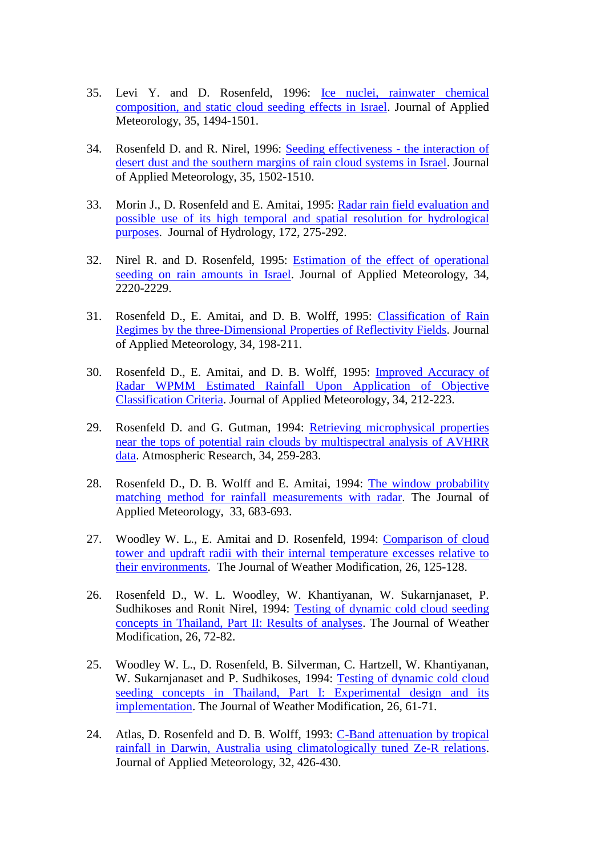- 35. Levi Y. and D. Rosenfeld, 1996: [Ice nuclei, rainwater chemical](https://www.researchgate.net/publication/249606672_Ice_Nuclei_Rainwater_Chemical_Composition_and_Static_Cloud_Seeding_Effects_in_Israel)  [composition, and static cloud seeding effects in Israel.](https://www.researchgate.net/publication/249606672_Ice_Nuclei_Rainwater_Chemical_Composition_and_Static_Cloud_Seeding_Effects_in_Israel) Journal of Applied Meteorology, 35, 1494-1501.
- 34. Rosenfeld D. and R. Nirel, 1996: [Seeding effectiveness -](https://www.researchgate.net/publication/240686034_Seeding_Effectiveness_-_The_Interaction_of_Desert_Dust_and_the_Southern_Margins_of_Rain_Cloud_Systems_in_Israel) the interaction of [desert dust and the southern margins of rain cloud systems in Israel.](https://www.researchgate.net/publication/240686034_Seeding_Effectiveness_-_The_Interaction_of_Desert_Dust_and_the_Southern_Margins_of_Rain_Cloud_Systems_in_Israel) Journal of Applied Meteorology, 35, 1502-1510.
- 33. Morin J., D. Rosenfeld and E. Amitai, 1995: [Radar rain field evaluation and](https://www.researchgate.net/publication/222479105_Radar_Rain_Field_Evaluation_and_Possible_Use_of_Its_High_Temporal_and_Spatial_Resolution_for_Hydrological_Purposes)  [possible use of its high temporal and spatial resolution for hydrological](https://www.researchgate.net/publication/222479105_Radar_Rain_Field_Evaluation_and_Possible_Use_of_Its_High_Temporal_and_Spatial_Resolution_for_Hydrological_Purposes)  [purposes.](https://www.researchgate.net/publication/222479105_Radar_Rain_Field_Evaluation_and_Possible_Use_of_Its_High_Temporal_and_Spatial_Resolution_for_Hydrological_Purposes) Journal of Hydrology, 172, 275-292.
- 32. Nirel R. and D. Rosenfeld, 1995: [Estimation of the effect of operational](https://www.researchgate.net/publication/249606192_Estimation_of_the_Effect_of_Operational_Seeding_on_Rain_Amounts_in_Israel)  [seeding on rain amounts in Israel.](https://www.researchgate.net/publication/249606192_Estimation_of_the_Effect_of_Operational_Seeding_on_Rain_Amounts_in_Israel) Journal of Applied Meteorology, 34, 2220-2229.
- 31. Rosenfeld D., E. Amitai, and D. B. Wolff, 1995: [Classification of Rain](https://www.researchgate.net/publication/23620428_Classification_of_Rain_Regimes_by_the_Three-Dimensional_Properties_of_Reflectivity_Fields)  [Regimes by the three-Dimensional Properties of Reflectivity Fields.](https://www.researchgate.net/publication/23620428_Classification_of_Rain_Regimes_by_the_Three-Dimensional_Properties_of_Reflectivity_Fields) Journal of Applied Meteorology, 34, 198-211.
- 30. Rosenfeld D., E. Amitai, and D. B. Wolff, 1995: [Improved Accuracy of](https://www.researchgate.net/publication/23606423_Improved_Accuracy_of_Radar_WPMM_Estimated_Rainfall_upon_Application_of_Objective_Classification_Criteria)  [Radar WPMM Estimated Rainfall Upon Application of Objective](https://www.researchgate.net/publication/23606423_Improved_Accuracy_of_Radar_WPMM_Estimated_Rainfall_upon_Application_of_Objective_Classification_Criteria)  [Classification Criteria.](https://www.researchgate.net/publication/23606423_Improved_Accuracy_of_Radar_WPMM_Estimated_Rainfall_upon_Application_of_Objective_Classification_Criteria) Journal of Applied Meteorology, 34, 212-223.
- 29. Rosenfeld D. and G. Gutman, 1994: [Retrieving microphysical properties](https://www.researchgate.net/publication/222941253_Retrieving_microphysical_properties_of_cloud_tops_by_multispectral_analysis_of_AVHRR_data)  [near the tops of potential rain clouds by multispectral analysis of AVHRR](https://www.researchgate.net/publication/222941253_Retrieving_microphysical_properties_of_cloud_tops_by_multispectral_analysis_of_AVHRR_data)  [data.](https://www.researchgate.net/publication/222941253_Retrieving_microphysical_properties_of_cloud_tops_by_multispectral_analysis_of_AVHRR_data) Atmospheric Research, 34, 259-283.
- 28. Rosenfeld D., D. B. Wolff and E. Amitai, 1994: [The window probability](https://www.researchgate.net/publication/234237439_The_Window_Probability_Matching_Method_for_Rainfall_Measurements_with_Radar)  [matching method for rainfall measurements with radar.](https://www.researchgate.net/publication/234237439_The_Window_Probability_Matching_Method_for_Rainfall_Measurements_with_Radar) The Journal of Applied Meteorology, 33, 683-693.
- 27. Woodley W. L., E. Amitai and D. Rosenfeld, 1994: [Comparison of cloud](https://www.researchgate.net/publication/257416106_Comparison_of_cloud_tower_and_updraft_radii_with_their_internal_temperature_excesses_relative_to_their_environments)  [tower and updraft radii with their internal temperature excesses relative to](https://www.researchgate.net/publication/257416106_Comparison_of_cloud_tower_and_updraft_radii_with_their_internal_temperature_excesses_relative_to_their_environments)  [their environments.](https://www.researchgate.net/publication/257416106_Comparison_of_cloud_tower_and_updraft_radii_with_their_internal_temperature_excesses_relative_to_their_environments) The Journal of Weather Modification, 26, 125-128.
- 26. Rosenfeld D., W. L. Woodley, W. Khantiyanan, W. Sukarnjanaset, P. Sudhikoses and Ronit Nirel, 1994: [Testing of dynamic cold cloud seeding](https://www.researchgate.net/publication/257416232_Testing_of_dynamic_cold_cloud_seeding_concepts_in_Thailand_Part_II_Results_of_analyses)  [concepts in Thailand, Part II: Results of analyses.](https://www.researchgate.net/publication/257416232_Testing_of_dynamic_cold_cloud_seeding_concepts_in_Thailand_Part_II_Results_of_analyses) The Journal of Weather Modification, 26, 72-82.
- 25. Woodley W. L., D. Rosenfeld, B. Silverman, C. Hartzell, W. Khantiyanan, W. Sukarnjanaset and P. Sudhikoses, 1994: [Testing of dynamic cold cloud](https://www.researchgate.net/publication/240686132_Results_of_On-Top_Glaciogenic_Cloud_Seeding_in_Thailand_Part_I_The_Demonstration_Experiment)  [seeding concepts in Thailand, Part I: Experimental design and its](https://www.researchgate.net/publication/240686132_Results_of_On-Top_Glaciogenic_Cloud_Seeding_in_Thailand_Part_I_The_Demonstration_Experiment)  [implementation.](https://www.researchgate.net/publication/240686132_Results_of_On-Top_Glaciogenic_Cloud_Seeding_in_Thailand_Part_I_The_Demonstration_Experiment) The Journal of Weather Modification, 26, 61-71.
- 24. Atlas, D. Rosenfeld and D. B. Wolff, 1993: [C-Band attenuation by tropical](https://www.researchgate.net/search.Search.html?type=publication&query=C-Band+attenuation+by+tropical+rainfall+in+Darwin%2C+Australia+using+climatologically+tuned+Ze-R+relations)  [rainfall in Darwin, Australia using climatologically tuned Ze-R relations.](https://www.researchgate.net/search.Search.html?type=publication&query=C-Band+attenuation+by+tropical+rainfall+in+Darwin%2C+Australia+using+climatologically+tuned+Ze-R+relations) Journal of Applied Meteorology, 32, 426-430.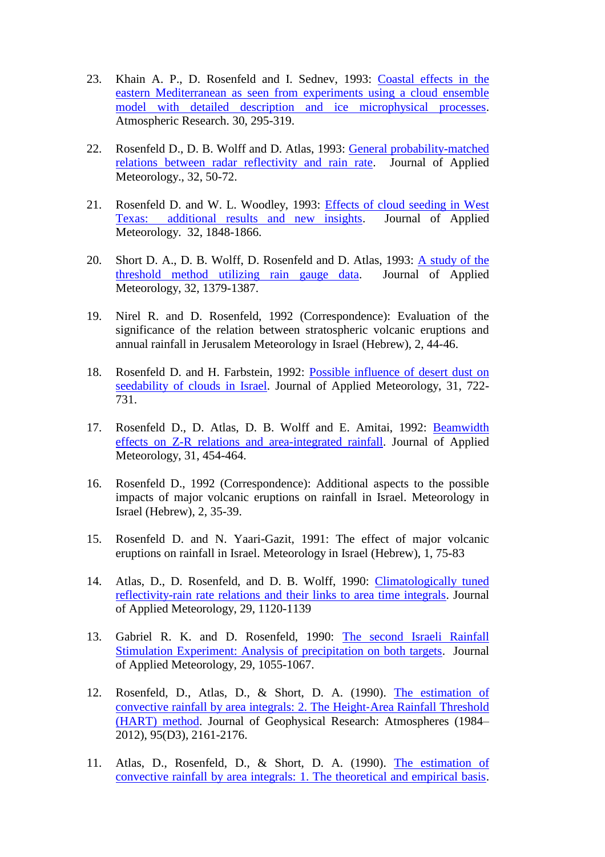- 23. Khain A. P., D. Rosenfeld and I. Sednev, 1993: [Coastal effects in the](https://www.researchgate.net/publication/260870581_Coastal_effects_in_the_Eastern_Mediterranean_as_seen_from_experiments_using_a_cloud_ensemble_model_with_detailed_description_of_warm_and_ice_microphysical_processes)  [eastern Mediterranean as seen from experiments using a cloud ensemble](https://www.researchgate.net/publication/260870581_Coastal_effects_in_the_Eastern_Mediterranean_as_seen_from_experiments_using_a_cloud_ensemble_model_with_detailed_description_of_warm_and_ice_microphysical_processes)  [model with detailed description and ice microphysical processes.](https://www.researchgate.net/publication/260870581_Coastal_effects_in_the_Eastern_Mediterranean_as_seen_from_experiments_using_a_cloud_ensemble_model_with_detailed_description_of_warm_and_ice_microphysical_processes) Atmospheric Research. 30, 295-319.
- 22. Rosenfeld D., D. B. Wolff and D. Atlas, 1993: [General probability-matched](https://www.researchgate.net/publication/4696751_General_Probability-matched_Relations_between_Radar_Reflectivity_and_Rain_Rate)  [relations between radar reflectivity and rain rate.](https://www.researchgate.net/publication/4696751_General_Probability-matched_Relations_between_Radar_Reflectivity_and_Rain_Rate) Journal of Applied Meteorology., 32, 50-72.
- 21. Rosenfeld D. and W. L. Woodley, 1993: [Effects of cloud seeding in West](https://www.researchgate.net/publication/234486891_Effects_of_Cloud_Seeding_in_West_Texas_Additional_Results_and_New_Insights)  [Texas: additional results and new insights.](https://www.researchgate.net/publication/234486891_Effects_of_Cloud_Seeding_in_West_Texas_Additional_Results_and_New_Insights) Journal of Applied Meteorology. 32, 1848-1866.
- 20. Short D. A., D. B. Wolff, D. Rosenfeld and D. Atlas, 1993: [A study of the](https://www.researchgate.net/publication/260870578_A_Study_of_the_Threshold_Method_Utilizing_Raingage_Data)  [threshold method utilizing rain gauge data.](https://www.researchgate.net/publication/260870578_A_Study_of_the_Threshold_Method_Utilizing_Raingage_Data) Journal of Applied Meteorology, 32, 1379-1387.
- 19. Nirel R. and D. Rosenfeld, 1992 (Correspondence): Evaluation of the significance of the relation between stratospheric volcanic eruptions and annual rainfall in Jerusalem Meteorology in Israel (Hebrew), 2, 44-46.
- 18. Rosenfeld D. and H. Farbstein, 1992: [Possible influence of desert dust on](https://www.researchgate.net/publication/249606557_Possible_Influence_of_Desert_Dust_on_Seedability_of_Clouds_in_Israel)  seedability [of clouds in Israel.](https://www.researchgate.net/publication/249606557_Possible_Influence_of_Desert_Dust_on_Seedability_of_Clouds_in_Israel) Journal of Applied Meteorology, 31, 722- 731.
- 17. Rosenfeld D., D. Atlas, D. B. Wolff and E. Amitai, 1992: [Beamwidth](https://www.researchgate.net/publication/260870642_Beamwidth_Effects_on_Z-R_Relations_and_Area-integrated_Rainfall)  [effects on Z-R relations and area-integrated rainfall.](https://www.researchgate.net/publication/260870642_Beamwidth_Effects_on_Z-R_Relations_and_Area-integrated_Rainfall) Journal of Applied Meteorology, 31, 454-464.
- 16. Rosenfeld D., 1992 (Correspondence): Additional aspects to the possible impacts of major volcanic eruptions on rainfall in Israel. Meteorology in Israel (Hebrew), 2, 35-39.
- 15. Rosenfeld D. and N. Yaari-Gazit, 1991: The effect of major volcanic eruptions on rainfall in Israel. Meteorology in Israel (Hebrew), 1, 75-83
- 14. Atlas, D., D. Rosenfeld, and D. B. Wolff, 1990: [Climatologically tuned](https://www.researchgate.net/publication/23881248_Climatologically_Tuned_Reflectivity-Rain_Rate_Relations_and_Links_to_Area-Time_Integrals)  [reflectivity-rain rate relations and their links to area time integrals.](https://www.researchgate.net/publication/23881248_Climatologically_Tuned_Reflectivity-Rain_Rate_Relations_and_Links_to_Area-Time_Integrals) Journal of Applied Meteorology, 29, 1120-1139
- 13. Gabriel R. K. and D. Rosenfeld, 1990: [The second Israeli Rainfall](https://www.researchgate.net/publication/249606532_The_Second_Israeli_Rainfall_Stimulation_Experiment_Analysis_of_Precipitation_on_Both_Targets)  [Stimulation Experiment: Analysis of precipitation on both targets.](https://www.researchgate.net/publication/249606532_The_Second_Israeli_Rainfall_Stimulation_Experiment_Analysis_of_Precipitation_on_Both_Targets) Journal of Applied Meteorology, 29, 1055-1067.
- 12. Rosenfeld, D., Atlas, D., & Short, D. A. (1990). [The estimation of](https://www.researchgate.net/publication/248793044_The_estimation_of_convective_rainfall_by_area_integrals_2_The_Height-Area_Rainfall_Threshold_HART_method)  [convective rainfall by area integrals: 2. The Height](https://www.researchgate.net/publication/248793044_The_estimation_of_convective_rainfall_by_area_integrals_2_The_Height-Area_Rainfall_Threshold_HART_method)‐Area Rainfall Threshold [\(HART\) method.](https://www.researchgate.net/publication/248793044_The_estimation_of_convective_rainfall_by_area_integrals_2_The_Height-Area_Rainfall_Threshold_HART_method) Journal of Geophysical Research: Atmospheres (1984– 2012), 95(D3), 2161-2176.
- 11. Atlas, D., Rosenfeld, D., & Short, D. A. (1990). [The estimation of](https://www.researchgate.net/publication/23578508_The_estimation_of_convective_rainfall_by_area_integrals_I_-_The_theoretical_and_empirical_basis_II_-_The_height-area_rainfall_threshold_HART_method)  [convective rainfall by area integrals: 1. The theoretical and empirical basis.](https://www.researchgate.net/publication/23578508_The_estimation_of_convective_rainfall_by_area_integrals_I_-_The_theoretical_and_empirical_basis_II_-_The_height-area_rainfall_threshold_HART_method)